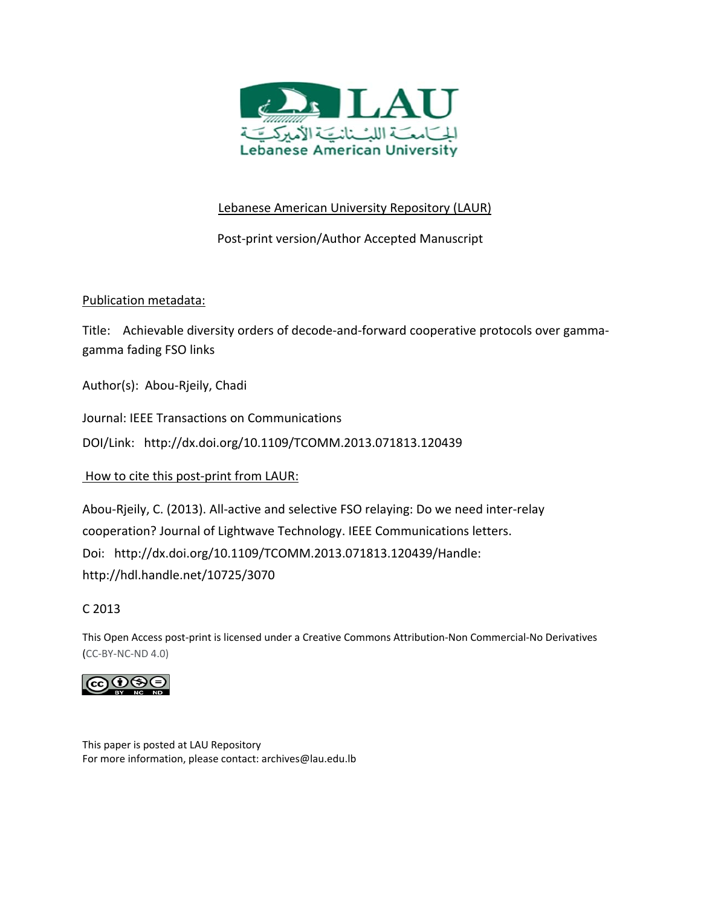

# Lebanese American University Repository (LAUR)

Post‐print version/Author Accepted Manuscript

# Publication metadata:

Title: Achievable diversity orders of decode‐and‐forward cooperative protocols over gamma‐ gamma fading FSO links

Author(s): Abou‐Rjeily, Chadi

Journal: IEEE Transactions on Communications

DOI/Link: http://dx.doi.org/10.1109/TCOMM.2013.071813.120439

How to cite this post-print from LAUR:

Abou‐Rjeily, C. (2013). All‐active and selective FSO relaying: Do we need inter‐relay cooperation? Journal of Lightwave Technology. IEEE Communications letters. Doi: http://dx.doi.org/10.1109/TCOMM.2013.071813.120439/Handle: http://hdl.handle.net/10725/3070

C 2013

This Open Access post‐print is licensed under a Creative Commons Attribution‐Non Commercial‐No Derivatives (CC‐BY‐NC‐ND 4.0)



This paper is posted at LAU Repository For more information, please contact: archives@lau.edu.lb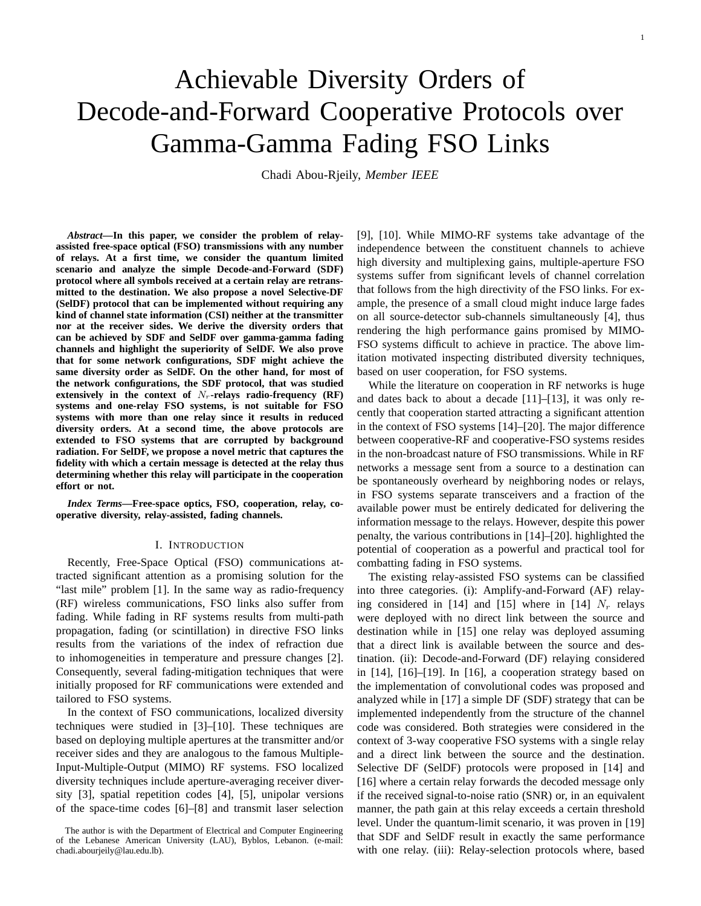# Achievable Diversity Orders of Decode-and-Forward Cooperative Protocols over Gamma-Gamma Fading FSO Links

Chadi Abou-Rjeily, *Member IEEE*

*Abstract***—In this paper, we consider the problem of relayassisted free-space optical (FSO) transmissions with any number of relays. At a first time, we consider the quantum limited scenario and analyze the simple Decode-and-Forward (SDF) protocol where all symbols received at a certain relay are retransmitted to the destination. We also propose a novel Selective-DF (SelDF) protocol that can be implemented without requiring any kind of channel state information (CSI) neither at the transmitter nor at the receiver sides. We derive the diversity orders that can be achieved by SDF and SelDF over gamma-gamma fading channels and highlight the superiority of SelDF. We also prove that for some network configurations, SDF might achieve the same diversity order as SelDF. On the other hand, for most of the network configurations, the SDF protocol, that was studied** extensively in the context of  $N_r$ -relays radio-frequency  $(RF)$ **systems and one-relay FSO systems, is not suitable for FSO systems with more than one relay since it results in reduced diversity orders. At a second time, the above protocols are extended to FSO systems that are corrupted by background radiation. For SelDF, we propose a novel metric that captures the fidelity with which a certain message is detected at the relay thus determining whether this relay will participate in the cooperation effort or not.**

*Index Terms***—Free-space optics, FSO, cooperation, relay, cooperative diversity, relay-assisted, fading channels.**

## I. INTRODUCTION

Recently, Free-Space Optical (FSO) communications attracted significant attention as a promising solution for the "last mile" problem [1]. In the same way as radio-frequency (RF) wireless communications, FSO links also suffer from fading. While fading in RF systems results from multi-path propagation, fading (or scintillation) in directive FSO links results from the variations of the index of refraction due to inhomogeneities in temperature and pressure changes [2]. Consequently, several fading-mitigation techniques that were initially proposed for RF communications were extended and tailored to FSO systems.

In the context of FSO communications, localized diversity techniques were studied in [3]–[10]. These techniques are based on deploying multiple apertures at the transmitter and/or receiver sides and they are analogous to the famous Multiple-Input-Multiple-Output (MIMO) RF systems. FSO localized diversity techniques include aperture-averaging receiver diversity [3], spatial repetition codes [4], [5], unipolar versions of the space-time codes [6]–[8] and transmit laser selection

[9], [10]. While MIMO-RF systems take advantage of the independence between the constituent channels to achieve high diversity and multiplexing gains, multiple-aperture FSO systems suffer from significant levels of channel correlation that follows from the high directivity of the FSO links. For example, the presence of a small cloud might induce large fades on all source-detector sub-channels simultaneously [4], thus rendering the high performance gains promised by MIMO-FSO systems difficult to achieve in practice. The above limitation motivated inspecting distributed diversity techniques, based on user cooperation, for FSO systems.

While the literature on cooperation in RF networks is huge and dates back to about a decade [11]–[13], it was only recently that cooperation started attracting a significant attention in the context of FSO systems [14]–[20]. The major difference between cooperative-RF and cooperative-FSO systems resides in the non-broadcast nature of FSO transmissions. While in RF networks a message sent from a source to a destination can be spontaneously overheard by neighboring nodes or relays, in FSO systems separate transceivers and a fraction of the available power must be entirely dedicated for delivering the information message to the relays. However, despite this power penalty, the various contributions in [14]–[20]. highlighted the potential of cooperation as a powerful and practical tool for combatting fading in FSO systems.

The existing relay-assisted FSO systems can be classified into three categories. (i): Amplify-and-Forward (AF) relaying considered in [14] and [15] where in [14]  $N_r$  relays were deployed with no direct link between the source and destination while in [15] one relay was deployed assuming that a direct link is available between the source and destination. (ii): Decode-and-Forward (DF) relaying considered in [14], [16]–[19]. In [16], a cooperation strategy based on the implementation of convolutional codes was proposed and analyzed while in [17] a simple DF (SDF) strategy that can be implemented independently from the structure of the channel code was considered. Both strategies were considered in the context of 3-way cooperative FSO systems with a single relay and a direct link between the source and the destination. Selective DF (SelDF) protocols were proposed in [14] and [16] where a certain relay forwards the decoded message only if the received signal-to-noise ratio (SNR) or, in an equivalent manner, the path gain at this relay exceeds a certain threshold level. Under the quantum-limit scenario, it was proven in [19] that SDF and SelDF result in exactly the same performance with one relay. (iii): Relay-selection protocols where, based

The author is with the Department of Electrical and Computer Engineering of the Lebanese American University (LAU), Byblos, Lebanon. (e-mail: chadi.abourjeily@lau.edu.lb).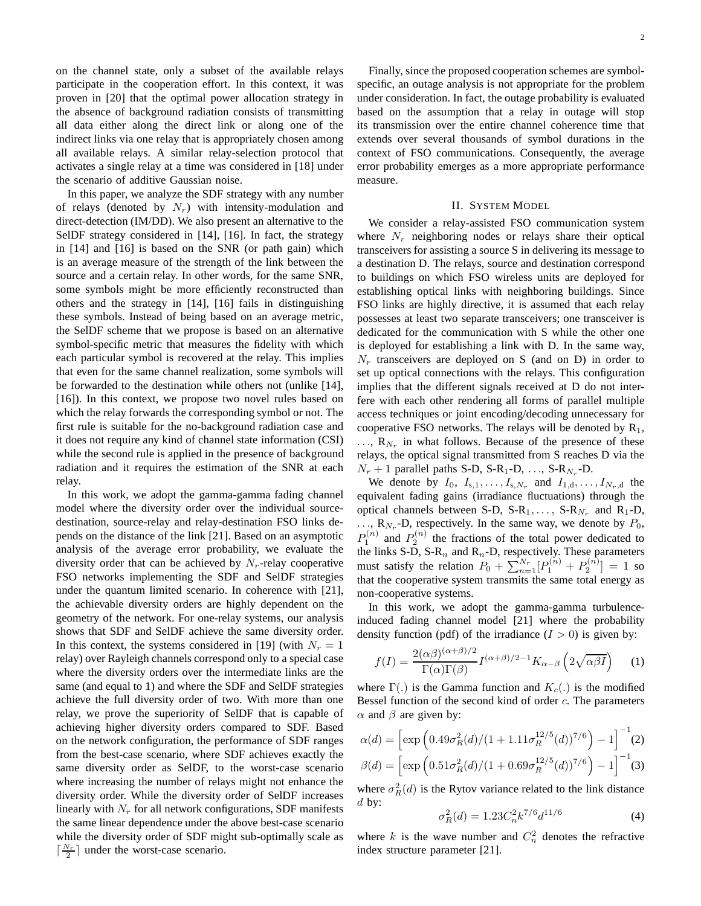on the channel state, only a subset of the available relays participate in the cooperation effort. In this context, it was proven in [20] that the optimal power allocation strategy in the absence of background radiation consists of transmitting all data either along the direct link or along one of the indirect links via one relay that is appropriately chosen among all available relays. A similar relay-selection protocol that activates a single relay at a time was considered in [18] under the scenario of additive Gaussian noise.

In this paper, we analyze the SDF strategy with any number of relays (denoted by  $N_r$ ) with intensity-modulation and direct-detection (IM/DD). We also present an alternative to the SelDF strategy considered in [14], [16]. In fact, the strategy in [14] and [16] is based on the SNR (or path gain) which is an average measure of the strength of the link between the source and a certain relay. In other words, for the same SNR, some symbols might be more efficiently reconstructed than others and the strategy in [14], [16] fails in distinguishing these symbols. Instead of being based on an average metric, the SelDF scheme that we propose is based on an alternative symbol-specific metric that measures the fidelity with which each particular symbol is recovered at the relay. This implies that even for the same channel realization, some symbols will be forwarded to the destination while others not (unlike [14], [16]). In this context, we propose two novel rules based on which the relay forwards the corresponding symbol or not. The first rule is suitable for the no-background radiation case and it does not require any kind of channel state information (CSI) while the second rule is applied in the presence of background radiation and it requires the estimation of the SNR at each relay.

In this work, we adopt the gamma-gamma fading channel model where the diversity order over the individual sourcedestination, source-relay and relay-destination FSO links depends on the distance of the link [21]. Based on an asymptotic analysis of the average error probability, we evaluate the diversity order that can be achieved by  $N_r$ -relay cooperative FSO networks implementing the SDF and SelDF strategies under the quantum limited scenario. In coherence with [21], the achievable diversity orders are highly dependent on the geometry of the network. For one-relay systems, our analysis shows that SDF and SelDF achieve the same diversity order. In this context, the systems considered in [19] (with  $N_r = 1$ relay) over Rayleigh channels correspond only to a special case where the diversity orders over the intermediate links are the same (and equal to 1) and where the SDF and SelDF strategies achieve the full diversity order of two. With more than one relay, we prove the superiority of SelDF that is capable of achieving higher diversity orders compared to SDF. Based on the network configuration, the performance of SDF ranges from the best-case scenario, where SDF achieves exactly the same diversity order as SelDF, to the worst-case scenario where increasing the number of relays might not enhance the diversity order. While the diversity order of SelDF increases linearly with  $N_r$  for all network configurations, SDF manifests the same linear dependence under the above best-case scenario while the diversity order of SDF might sub-optimally scale as  $\lceil \frac{N_r}{2} \rceil$  under the worst-case scenario.

Finally, since the proposed cooperation schemes are symbolspecific, an outage analysis is not appropriate for the problem under consideration. In fact, the outage probability is evaluated based on the assumption that a relay in outage will stop its transmission over the entire channel coherence time that extends over several thousands of symbol durations in the context of FSO communications. Consequently, the average error probability emerges as a more appropriate performance measure.

#### II. SYSTEM MODEL

We consider a relay-assisted FSO communication system where  $N_r$  neighboring nodes or relays share their optical transceivers for assisting a source S in delivering its message to a destination D. The relays, source and destination correspond to buildings on which FSO wireless units are deployed for establishing optical links with neighboring buildings. Since FSO links are highly directive, it is assumed that each relay possesses at least two separate transceivers; one transceiver is dedicated for the communication with S while the other one is deployed for establishing a link with D. In the same way,  $N_r$  transceivers are deployed on S (and on D) in order to set up optical connections with the relays. This configuration implies that the different signals received at D do not interfere with each other rendering all forms of parallel multiple access techniques or joint encoding/decoding unnecessary for cooperative FSO networks. The relays will be denoted by  $R_1$ ,  $\ldots$ ,  $\mathbf{R}_{N_r}$  in what follows. Because of the presence of these relays, the optical signal transmitted from S reaches D via the  $N_r + 1$  parallel paths S-D, S-R<sub>1</sub>-D, ..., S-R<sub>Nr</sub>-D.

We denote by  $I_0$ ,  $I_{s,1}, \ldots, I_{s,N_r}$  and  $I_{1,d}, \ldots, I_{N_r,d}$  the equivalent fading gains (irradiance fluctuations) through the optical channels between S-D,  $S-R_1, \ldots, S-R_{N_r}$  and  $R_1$ -D,  $\ldots$ ,  $\mathbf{R}_{N_r}$ -D, respectively. In the same way, we denote by  $P_0$ ,  $P_1^{(n)}$  and  $P_2^{(n)}$  the fractions of the total power dedicated to the links S-D, S-R<sub>n</sub> and R<sub>n</sub>-D, respectively. These parameters must satisfy the relation  $P_0 + \sum_{n=1}^{N_r} [P_1^{(n)} + P_2^{(n)}] = 1$  so that the cooperative system transmits the same total energy as non-cooperative systems.

In this work, we adopt the gamma-gamma turbulenceinduced fading channel model [21] where the probability density function (pdf) of the irradiance  $(I > 0)$  is given by:

$$
f(I) = \frac{2(\alpha\beta)^{(\alpha+\beta)/2}}{\Gamma(\alpha)\Gamma(\beta)} I^{(\alpha+\beta)/2-1} K_{\alpha-\beta} \left(2\sqrt{\alpha\beta I}\right)
$$
 (1)

where  $\Gamma(.)$  is the Gamma function and  $K_c(.)$  is the modified Bessel function of the second kind of order  $c$ . The parameters  $\alpha$  and  $\beta$  are given by:

$$
\alpha(d) = \left[ \exp \left( 0.49 \sigma_R^2(d) / (1 + 1.11 \sigma_R^{12/5}(d))^{7/6} \right) - 1 \right]^{-1}(2)
$$

$$
\beta(d) = \left[ \exp \left( 0.51 \sigma_R^2(d) / (1 + 0.69 \sigma_R^{12/5}(d))^{7/6} \right) - 1 \right]^{-1}(3)
$$

where  $\sigma_R^2(d)$  is the Rytov variance related to the link distance  $d$  by:

$$
\sigma_R^2(d) = 1.23 C_n^2 k^{7/6} d^{11/6} \tag{4}
$$

where k is the wave number and  $C_n^2$  denotes the refractive index structure parameter [21].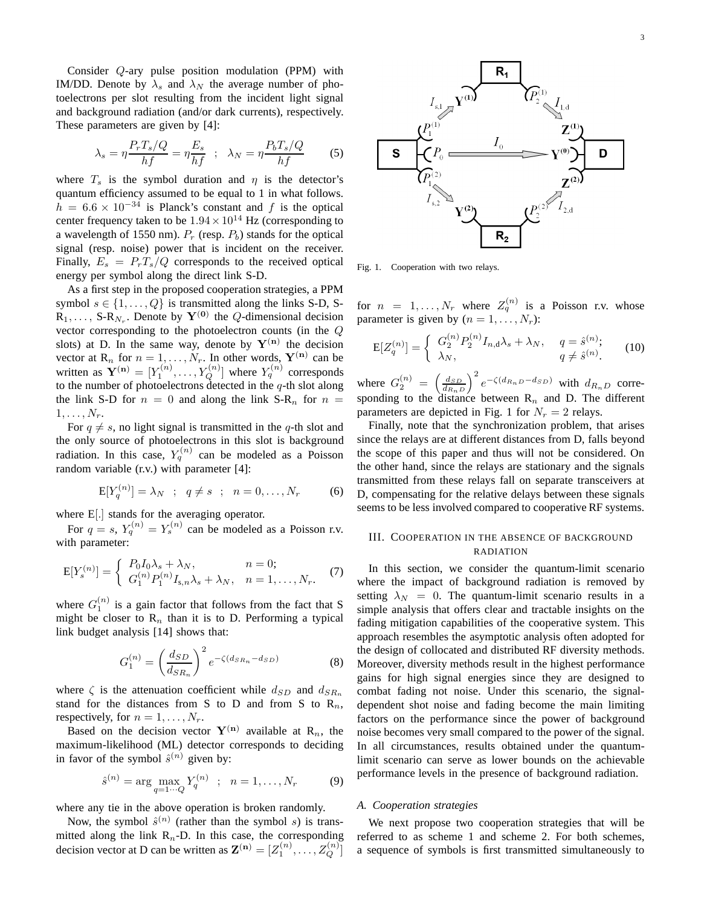Consider Q-ary pulse position modulation (PPM) with IM/DD. Denote by  $\lambda_s$  and  $\lambda_N$  the average number of photoelectrons per slot resulting from the incident light signal and background radiation (and/or dark currents), respectively. These parameters are given by [4]:

$$
\lambda_s = \eta \frac{P_r T_s / Q}{hf} = \eta \frac{E_s}{hf} \quad ; \quad \lambda_N = \eta \frac{P_b T_s / Q}{hf} \tag{5}
$$

where  $T_s$  is the symbol duration and  $\eta$  is the detector's quantum efficiency assumed to be equal to 1 in what follows.  $h = 6.6 \times 10^{-34}$  is Planck's constant and f is the optical center frequency taken to be  $1.94 \times 10^{14}$  Hz (corresponding to a wavelength of 1550 nm).  $P_r$  (resp.  $P_b$ ) stands for the optical signal (resp. noise) power that is incident on the receiver. Finally,  $E_s = P_rT_s/Q$  corresponds to the received optical energy per symbol along the direct link S-D.

As a first step in the proposed cooperation strategies, a PPM symbol  $s \in \{1, \ldots, Q\}$  is transmitted along the links S-D, S- $\mathbf{R}_1, \ldots, \mathbf{S-R}_{N_r}$ . Denote by  $\mathbf{Y}^{(0)}$  the Q-dimensional decision vector corresponding to the photoelectron counts (in the Q slots) at D. In the same way, denote by  $Y^{(n)}$  the decision vector at  $\mathbf{R}_n$  for  $n = 1, \dots, N_r$ . In other words,  $\mathbf{Y}^{(n)}$  can be written as  $\mathbf{Y}^{(\mathbf{n})} = [Y_1^{(n)}, \dots, Y_Q^{(n)}]$  where  $Y_q^{(n)}$  corresponds to the number of photoelectrons detected in the  $q$ -th slot along the link S-D for  $n = 0$  and along the link S-R<sub>n</sub> for  $n =$  $1, \ldots, N_r$ .

For  $q \neq s$ , no light signal is transmitted in the q-th slot and the only source of photoelectrons in this slot is background radiation. In this case,  $Y_q^{(n)}$  can be modeled as a Poisson random variable (r.v.) with parameter [4]:

$$
E[Y_{q}^{(n)}] = \lambda_{N} \; ; \; q \neq s \; ; \; n = 0, \dots, N_{r} \tag{6}
$$

where E[.] stands for the averaging operator.

For  $q = s$ ,  $Y_q^{(n)} = Y_s^{(n)}$  can be modeled as a Poisson r.v. with parameter:

$$
E[Y_s^{(n)}] = \begin{cases} P_0 I_0 \lambda_s + \lambda_N, & n = 0; \\ G_1^{(n)} P_1^{(n)} I_{s,n} \lambda_s + \lambda_N, & n = 1, \dots, N_r. \end{cases}
$$
(7)

where  $G_1^{(n)}$  is a gain factor that follows from the fact that S might be closer to  $R_n$  than it is to D. Performing a typical link budget analysis [14] shows that:

$$
G_1^{(n)} = \left(\frac{d_{SD}}{d_{SR_n}}\right)^2 e^{-\zeta(d_{SR_n} - d_{SD})}
$$
 (8)

where  $\zeta$  is the attenuation coefficient while  $d_{SD}$  and  $d_{SR_n}$ stand for the distances from S to D and from S to  $R_n$ , respectively, for  $n = 1, \ldots, N_r$ .

Based on the decision vector  $Y^{(n)}$  available at  $R_n$ , the maximum-likelihood (ML) detector corresponds to deciding in favor of the symbol  $\hat{s}^{(n)}$  given by:

$$
\hat{s}^{(n)} = \arg \max_{q=1 \cdots Q} Y_q^{(n)} \; ; \; n = 1, \ldots, N_r \tag{9}
$$

where any tie in the above operation is broken randomly.

Now, the symbol  $\hat{s}^{(n)}$  (rather than the symbol s) is transmitted along the link  $R_n$ -D. In this case, the corresponding decision vector at D can be written as  $\mathbf{Z}^{(\mathbf{n})} = [Z_1^{(n)}, \dots, Z_Q^{(n)}]$ 



Fig. 1. Cooperation with two relays.

for  $n = 1, ..., N_r$  where  $Z_q^{(n)}$  is a Poisson r.v. whose parameter is given by  $(n = 1, \ldots, N_r)$ :

$$
E[Z_q^{(n)}] = \begin{cases} G_2^{(n)} P_2^{(n)} I_{n,d} \lambda_s + \lambda_N, & q = \hat{s}^{(n)}; \\ \lambda_N, & q \neq \hat{s}^{(n)}. \end{cases}
$$
(10)

where  $G_2^{(n)} = \left(\frac{d_{SD}}{d_{RnD}}\right)^2 e^{-\zeta(d_{RnD}-d_{SD})}$  with  $d_{RnD}$  corresponding to the distance between  $\mathbb{R}_n$  and D. The different parameters are depicted in Fig. 1 for  $N_r = 2$  relays.

Finally, note that the synchronization problem, that arises since the relays are at different distances from D, falls beyond the scope of this paper and thus will not be considered. On the other hand, since the relays are stationary and the signals transmitted from these relays fall on separate transceivers at D, compensating for the relative delays between these signals seems to be less involved compared to cooperative RF systems.

# III. COOPERATION IN THE ABSENCE OF BACKGROUND RADIATION

In this section, we consider the quantum-limit scenario where the impact of background radiation is removed by setting  $\lambda_N = 0$ . The quantum-limit scenario results in a simple analysis that offers clear and tractable insights on the fading mitigation capabilities of the cooperative system. This approach resembles the asymptotic analysis often adopted for the design of collocated and distributed RF diversity methods. Moreover, diversity methods result in the highest performance gains for high signal energies since they are designed to combat fading not noise. Under this scenario, the signaldependent shot noise and fading become the main limiting factors on the performance since the power of background noise becomes very small compared to the power of the signal. In all circumstances, results obtained under the quantumlimit scenario can serve as lower bounds on the achievable performance levels in the presence of background radiation.

#### *A. Cooperation strategies*

We next propose two cooperation strategies that will be referred to as scheme 1 and scheme 2. For both schemes, a sequence of symbols is first transmitted simultaneously to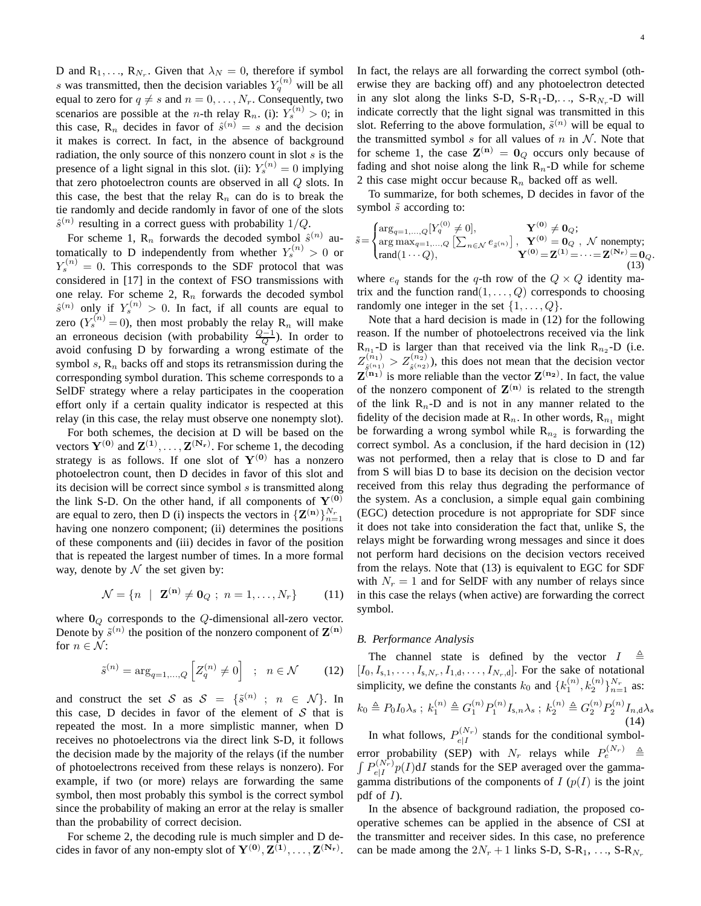D and  $R_1, \ldots, R_{N_r}$ . Given that  $\lambda_N = 0$ , therefore if symbol s was transmitted, then the decision variables  $Y_q^{(n)}$  will be all equal to zero for  $q \neq s$  and  $n = 0, \ldots, N_r$ . Consequently, two scenarios are possible at the *n*-th relay R<sub>n</sub>. (i):  $Y_s^{(n)} > 0$ ; in this case, R<sub>n</sub> decides in favor of  $\hat{s}^{(n)} = s$  and the decision it makes is correct. In fact, in the absence of background radiation, the only source of this nonzero count in slot  $s$  is the presence of a light signal in this slot. (ii):  $Y_s^{(n)} = 0$  implying that zero photoelectron counts are observed in all Q slots. In this case, the best that the relay  $R_n$  can do is to break the tie randomly and decide randomly in favor of one of the slots  $\hat{s}^{(n)}$  resulting in a correct guess with probability 1/Q.

For scheme 1,  $\mathbb{R}_n$  forwards the decoded symbol  $\hat{s}^{(n)}$  automatically to D independently from whether  $Y_s^{(n)} > 0$  or  $Y_s^{(n)} = 0$ . This corresponds to the SDF protocol that was considered in [17] in the context of FSO transmissions with one relay. For scheme 2,  $R_n$  forwards the decoded symbol  $\hat{s}^{(n)}$  only if  $Y_s^{(n)} > 0$ . In fact, if all counts are equal to zero  $(Y_s^{(n)} = 0)$ , then most probably the relay  $R_n$  will make an erroneous decision (with probability  $\frac{Q-1}{Q}$ ). In order to avoid confusing D by forwarding a wrong estimate of the symbol s,  $\mathbb{R}_n$  backs off and stops its retransmission during the corresponding symbol duration. This scheme corresponds to a SelDF strategy where a relay participates in the cooperation effort only if a certain quality indicator is respected at this relay (in this case, the relay must observe one nonempty slot).

For both schemes, the decision at D will be based on the vectors  $Y^{(0)}$  and  $Z^{(1)}, \ldots, Z^{(N_r)}$ . For scheme 1, the decoding strategy is as follows. If one slot of  $Y^{(0)}$  has a nonzero photoelectron count, then D decides in favor of this slot and its decision will be correct since symbol  $s$  is transmitted along the link S-D. On the other hand, if all components of  $Y^{(0)}$ are equal to zero, then D (i) inspects the vectors in  ${\mathbf Z}^{(n)}\}_{n=1}^{N_r}$ having one nonzero component; (ii) determines the positions of these components and (iii) decides in favor of the position that is repeated the largest number of times. In a more formal way, denote by  $\mathcal N$  the set given by:

$$
\mathcal{N} = \{ n \mid \mathbf{Z}^{(\mathbf{n})} \neq \mathbf{0}_Q ; n = 1, ..., N_r \}
$$
 (11)

where  $\mathbf{0}_Q$  corresponds to the Q-dimensional all-zero vector. Denote by  $\tilde{s}^{(n)}$  the position of the nonzero component of  $\mathbf{Z}^{(n)}$ for  $n \in \mathcal{N}$ :

$$
\tilde{s}^{(n)} = \arg_{q=1,\dots,Q} \left[ Z_q^{(n)} \neq 0 \right] \quad ; \quad n \in \mathcal{N} \tag{12}
$$

and construct the set S as  $S = \{\tilde{s}^{(n)} : n \in \mathcal{N}\}\$ . In this case, D decides in favor of the element of  $S$  that is repeated the most. In a more simplistic manner, when D receives no photoelectrons via the direct link S-D, it follows the decision made by the majority of the relays (if the number of photoelectrons received from these relays is nonzero). For example, if two (or more) relays are forwarding the same symbol, then most probably this symbol is the correct symbol since the probability of making an error at the relay is smaller than the probability of correct decision.

For scheme 2, the decoding rule is much simpler and D decides in favor of any non-empty slot of  $Y^{(0)}, Z^{(1)}, \ldots, Z^{(N_r)}$ .

In fact, the relays are all forwarding the correct symbol (otherwise they are backing off) and any photoelectron detected in any slot along the links S-D, S-R<sub>1</sub>-D,..., S-R<sub>N<sub>r</sub></sub>-D will indicate correctly that the light signal was transmitted in this slot. Referring to the above formulation,  $\tilde{s}^{(n)}$  will be equal to the transmitted symbol s for all values of n in  $N$ . Note that for scheme 1, the case  $\mathbf{Z}^{(\mathbf{n})} = \mathbf{0}_Q$  occurs only because of fading and shot noise along the link  $R_n$ -D while for scheme 2 this case might occur because  $R_n$  backed off as well.

To summarize, for both schemes, D decides in favor of the symbol  $\tilde{s}$  according to:

$$
\tilde{s} = \begin{cases}\n\arg_{q=1,\ldots,Q} [Y_q^{(0)} \neq 0], & \mathbf{Y}^{(0)} \neq \mathbf{0}_Q; \\
\arg \max_{q=1,\ldots,Q} [\sum_{n \in \mathcal{N}} e_{\tilde{s}^{(n)}}], & \mathbf{Y}^{(0)} = \mathbf{0}_Q, \mathcal{N} \text{ nonempty}; \\
\text{rand}(1 \cdots Q), & \mathbf{Y}^{(0)} = \mathbf{Z}^{(1)} = \cdots = \mathbf{Z}^{(\mathbf{N_r})} = \mathbf{0}_Q.\n\end{cases}
$$
\n(13)

where  $e_q$  stands for the q-th row of the  $Q \times Q$  identity matrix and the function rand $(1, \ldots, Q)$  corresponds to choosing randomly one integer in the set  $\{1, \ldots, Q\}$ .

Note that a hard decision is made in (12) for the following reason. If the number of photoelectrons received via the link  $R_{n_1}$ -D is larger than that received via the link  $R_{n_2}$ -D (i.e.  $Z^{(n_1)}_{\hat{\mathfrak{g}}(n_1)}$  $s_{\hat{s}^{(n_1)}}^{(n_1)} > Z_{\hat{s}^{(n_2)}}^{(n_2)}$ , this does not mean that the decision vector  $\mathbf{Z}^{(n_1)}$  is more reliable than the vector  $\mathbf{Z}^{(n_2)}$ . In fact, the value of the nonzero component of  $\mathbf{Z}^{(n)}$  is related to the strength of the link  $R_n$ -D and is not in any manner related to the fidelity of the decision made at  $\mathbb{R}_n$ . In other words,  $\mathbb{R}_{n_1}$  might be forwarding a wrong symbol while  $R_{n_2}$  is forwarding the correct symbol. As a conclusion, if the hard decision in (12) was not performed, then a relay that is close to D and far from S will bias D to base its decision on the decision vector received from this relay thus degrading the performance of the system. As a conclusion, a simple equal gain combining (EGC) detection procedure is not appropriate for SDF since it does not take into consideration the fact that, unlike S, the relays might be forwarding wrong messages and since it does not perform hard decisions on the decision vectors received from the relays. Note that (13) is equivalent to EGC for SDF with  $N_r = 1$  and for SelDF with any number of relays since in this case the relays (when active) are forwarding the correct symbol.

# *B. Performance Analysis*

The channel state is defined by the vector  $I$  $[I_0, I_{s,1}, \ldots, I_{s,N_r}, I_{1,d}, \ldots, I_{N_r,d}]$ . For the sake of notational simplicity, we define the constants  $k_0$  and  $\{k_1^{(n)}, k_2^{(n)}\}_{n=1}^{N_r}$  as:  $k_0 \triangleq P_0 I_0 \lambda_s$ ;  $k_1^{(n)} \triangleq G_1^{(n)} P_1^{(n)} I_{s,n} \lambda_s$ ;  $k_2^{(n)} \triangleq G_2^{(n)} P_2^{(n)} I_{n,d} \lambda_s$ (14)

In what follows,  $P_{e|I}^{(N_r)}$  $e|I^{\left(1\nu_{r}\right)}$  stands for the conditional symbolerror probability (SEP) with  $N_r$  relays while  $P_e^{(N_r)} \triangleq$  $\int P_{e|I}^{(N_r)}$  $\int_{e|I}^{(N_r)} p(I) dI$  stands for the SEP averaged over the gammagamma distributions of the components of  $I(p(I))$  is the joint pdf of  $I$ ).

In the absence of background radiation, the proposed cooperative schemes can be applied in the absence of CSI at the transmitter and receiver sides. In this case, no preference can be made among the  $2N_r + 1$  links S-D, S-R<sub>1</sub>, ..., S-R<sub>N<sub>r</sub></sub>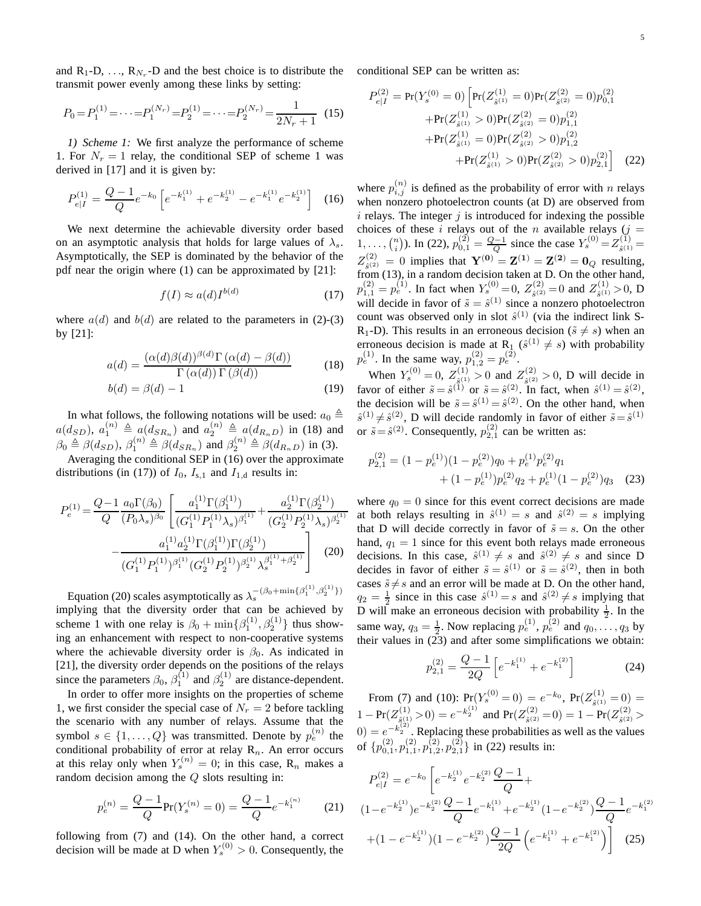and  $R_1$ -D, ...,  $R_{N_r}$ -D and the best choice is to distribute the conditional SEP can be written as: transmit power evenly among these links by setting:

$$
P_0 = P_1^{(1)} = \dots = P_1^{(N_r)} = P_2^{(1)} = \dots = P_2^{(N_r)} = \frac{1}{2N_r + 1} \tag{15}
$$

*1) Scheme 1:* We first analyze the performance of scheme 1. For  $N_r = 1$  relay, the conditional SEP of scheme 1 was derived in [17] and it is given by:

$$
P_{e|I}^{(1)} = \frac{Q-1}{Q}e^{-k_0} \left[ e^{-k_1^{(1)}} + e^{-k_2^{(1)}} - e^{-k_1^{(1)}} e^{-k_2^{(1)}} \right] \tag{16}
$$

We next determine the achievable diversity order based on an asymptotic analysis that holds for large values of  $\lambda_s$ . Asymptotically, the SEP is dominated by the behavior of the pdf near the origin where (1) can be approximated by [21]:

$$
f(I) \approx a(d)I^{b(d)} \tag{17}
$$

where  $a(d)$  and  $b(d)$  are related to the parameters in (2)-(3) by [21]:

$$
a(d) = \frac{(\alpha(d)\beta(d))^{\beta(d)}\Gamma(\alpha(d) - \beta(d))}{\Gamma(\alpha(d))\Gamma(\beta(d))}
$$
(18)

$$
b(d) = \beta(d) - 1 \tag{19}
$$

In what follows, the following notations will be used:  $a_0 \triangleq$  $a(d_{SD})$ ,  $a_1^{(n)} \triangleq a(d_{SR_n})$  and  $a_2^{(n)} \triangleq a(d_{R_nD})$  in (18) and  $\beta_0 \triangleq \beta(d_{SD}), \beta_1^{(n)} \triangleq \beta(d_{SR_n})$  and  $\beta_2^{(n)} \triangleq \beta(d_{R_nD})$  in (3).

Averaging the conditional SEP in (16) over the approximate distributions (in (17)) of  $I_0$ ,  $I_{s,1}$  and  $I_{1,d}$  results in:

$$
P_e^{(1)} = \frac{Q - 1}{Q} \frac{a_0 \Gamma(\beta_0)}{(P_0 \lambda_s)^{\beta_0}} \left[ \frac{a_1^{(1)} \Gamma(\beta_1^{(1)})}{(G_1^{(1)} P_1^{(1)} \lambda_s)^{\beta_1^{(1)}}} + \frac{a_2^{(1)} \Gamma(\beta_2^{(1)})}{(G_2^{(1)} P_2^{(1)} \lambda_s)^{\beta_2^{(1)}}} - \frac{a_1^{(1)} a_2^{(1)} \Gamma(\beta_1^{(1)}) \Gamma(\beta_2^{(1)})}{(G_1^{(1)} P_1^{(1)})^{\beta_1^{(1)}} (G_2^{(1)} P_2^{(1)})^{\beta_2^{(1)}} \lambda_s^{\beta_1^{(1)} + \beta_2^{(1)}}} \right]
$$
(20)

Equation (20) scales asymptotically as  $\lambda_s^{-(\beta_0 + \min\{\beta_1^{(1)}, \beta_2^{(1)}\})}$ implying that the diversity order that can be achieved by scheme 1 with one relay is  $\beta_0 + \min\{\beta_1^{(1)}, \beta_2^{(1)}\}$  thus showing an enhancement with respect to non-cooperative systems where the achievable diversity order is  $\beta_0$ . As indicated in [21], the diversity order depends on the positions of the relays since the parameters  $\beta_0$ ,  $\beta_1^{(1)}$  and  $\beta_2^{(1)}$  are distance-dependent.

In order to offer more insights on the properties of scheme 1, we first consider the special case of  $N_r = 2$  before tackling the scenario with any number of relays. Assume that the symbol  $s \in \{1, ..., Q\}$  was transmitted. Denote by  $p_e^{(n)}$  the conditional probability of error at relay  $R_n$ . An error occurs at this relay only when  $Y_s^{(n)} = 0$ ; in this case,  $R_n$  makes a random decision among the Q slots resulting in:

$$
p_e^{(n)} = \frac{Q-1}{Q} \text{Pr}(Y_s^{(n)} = 0) = \frac{Q-1}{Q} e^{-k_1^{(n)}} \tag{21}
$$

following from (7) and (14). On the other hand, a correct decision will be made at D when  $Y_s^{(0)} > 0$ . Consequently, the

$$
P_{e|I}^{(2)} = \Pr(Y_s^{(0)} = 0) \left[ \Pr(Z_{\hat{s}^{(1)}}^{(1)} = 0) \Pr(Z_{\hat{s}^{(2)}}^{(2)} = 0) p_{0,1}^{(2)} + \Pr(Z_{\hat{s}^{(1)}}^{(1)} > 0) \Pr(Z_{\hat{s}^{(2)}}^{(2)} = 0) p_{1,1}^{(2)} + \Pr(Z_{\hat{s}^{(1)}}^{(1)} = 0) \Pr(Z_{\hat{s}^{(2)}}^{(2)} > 0) p_{1,2}^{(2)} + \Pr(Z_{\hat{s}^{(1)}}^{(1)} > 0) \Pr(Z_{\hat{s}^{(2)}}^{(2)} > 0) p_{2,1}^{(2)} \right]
$$
(22)

where  $p_{i,j}^{(n)}$  is defined as the probability of error with n relays when nonzero photoelectron counts (at D) are observed from  $i$  relays. The integer  $j$  is introduced for indexing the possible choices of these i relays out of the n available relays  $(j =$ 1,...,  $\binom{n}{i}$ ). In (22),  $p_{0,1}^{(2)} = \frac{Q-1}{Q}$  since the case  $Y_s^{(0)} = Z_{\hat{g}(1)}^{(1)} =$  $Z_{\varepsilon(2)}^{(2)} = 0$  implies that  $Y^{(0)} = Z^{(1)} = Z^{(2)} = 0_Q$  resulting,  $\sum_{\hat{s}(2)}$  =  $\sigma$  implies that  $\Gamma$  =  $\Gamma$  =  $\Gamma$  =  $\Gamma$  =  $\sigma$   $\sigma$  resulting,  $p_{1,1}^{(2)} = p_e^{(1)}$ . In fact when  $Y_s^{(0)} = 0$ ,  $Z_{\hat{s}^{(2)}}^{(2)}$  $s_{\hat{s}}^{(2)} = 0$  and  $Z_{\hat{s}^{(1)}}^{(1)}$  $s^{(1)}_{\hat{s}^{(1)}}$  > 0, D will decide in favor of  $\tilde{s} = \hat{s}^{(1)}$  since a nonzero photoelectron count was observed only in slot  $\hat{s}^{(1)}$  (via the indirect link S-R<sub>1</sub>-D). This results in an erroneous decision ( $\tilde{s} \neq s$ ) when an erroneous decision is made at R<sub>1</sub> ( $\hat{s}^{(1)} \neq s$ ) with probability  $p_e^{(1)}$ . In the same way,  $p_{1,2}^{(2)} = p_e^{(2)}$ .

When  $Y_s^{(0)} = 0$ ,  $Z_{\hat{s}^{(1)}}^{(1)}$  $\zeta_{\hat{s}^{(1)}}^{(1)} > 0$  and  $Z_{\hat{s}^{(2)}}^{(2)}$  $s^{(2)}_{s^{(2)}} > 0$ , D will decide in favor of either  $\tilde{s} = \hat{s}^{(1)}$  or  $\tilde{s} = \hat{s}^{(2)}$ . In fact, when  $\hat{s}^{(1)} = \hat{s}^{(2)}$ , the decision will be  $\tilde{s} = \hat{s}^{(1)} = \hat{s}^{(2)}$ . On the other hand, when  $\hat{s}^{(1)} \neq \hat{s}^{(2)}$ , D will decide randomly in favor of either  $\tilde{s} = \hat{s}^{(1)}$ or  $\tilde{s} = \hat{s}^{(2)}$ . Consequently,  $p_{2,1}^{(2)}$  can be written as:

$$
p_{2,1}^{(2)} = (1 - p_e^{(1)})(1 - p_e^{(2)})q_0 + p_e^{(1)}p_e^{(2)}q_1 + (1 - p_e^{(1)})p_e^{(2)}q_2 + p_e^{(1)}(1 - p_e^{(2)})q_3
$$
 (23)

where  $q_0 = 0$  since for this event correct decisions are made at both relays resulting in  $\hat{s}^{(1)} = s$  and  $\hat{s}^{(2)} = s$  implying that D will decide correctly in favor of  $\tilde{s} = s$ . On the other hand,  $q_1 = 1$  since for this event both relays made erroneous decisions. In this case,  $\hat{s}^{(1)} \neq s$  and  $\hat{s}^{(2)} \neq s$  and since D decides in favor of either  $\tilde{s} = \hat{s}^{(1)}$  or  $\tilde{s} = \hat{s}^{(2)}$ , then in both cases  $\tilde{s} \neq s$  and an error will be made at D. On the other hand,  $q_2 = \frac{1}{2}$  since in this case  $\hat{s}^{(1)} = s$  and  $\hat{s}^{(2)} \neq s$  implying that D will make an erroneous decision with probability  $\frac{1}{2}$ . In the same way,  $q_3 = \frac{1}{2}$ . Now replacing  $p_e^{(1)}$ ,  $p_e^{(2)}$  and  $q_0, \ldots, q_3$  by their values in (23) and after some simplifications we obtain:

$$
p_{2,1}^{(2)} = \frac{Q-1}{2Q} \left[ e^{-k_1^{(1)}} + e^{-k_1^{(2)}} \right]
$$
 (24)

From (7) and (10):  $Pr(Y_s^{(0)} = 0) = e^{-k_0}$ ,  $Pr(Z_{\hat{s}^{(1)}}^{(1)} = 0) =$  $1 - \Pr(Z_{\hat{g}(1)}^{(1)} > 0) = e^{-k_2^{(1)}}$  and  $\Pr(Z_{\hat{g}(2)}^{(2)} = 0) = 1 - \Pr(Z_{\hat{g}(2)}^{(2)} > 0)$  $(0) = e^{-k_2^{(2)}}$ . Replacing these probabilities as well as the values of  $\{p_{0,1}^{(2)}, p_{1,1}^{(2)}, p_{1,2}^{(2)}, p_{2,1}^{(2)}\}$  in (22) results in:

$$
P_{e|I}^{(2)} = e^{-k_0} \left[ e^{-k_2^{(1)}} e^{-k_2^{(2)}} \frac{Q-1}{Q} + \right.
$$
  
\n
$$
(1 - e^{-k_2^{(1)}}) e^{-k_2^{(2)}} \frac{Q-1}{Q} e^{-k_1^{(1)}} + e^{-k_2^{(1)}} (1 - e^{-k_2^{(2)}}) \frac{Q-1}{Q} e^{-k_1^{(2)}} + (1 - e^{-k_2^{(1)}}) (1 - e^{-k_2^{(2)}}) \frac{Q-1}{2Q} \left( e^{-k_1^{(1)}} + e^{-k_1^{(2)}} \right) \right]
$$
(25)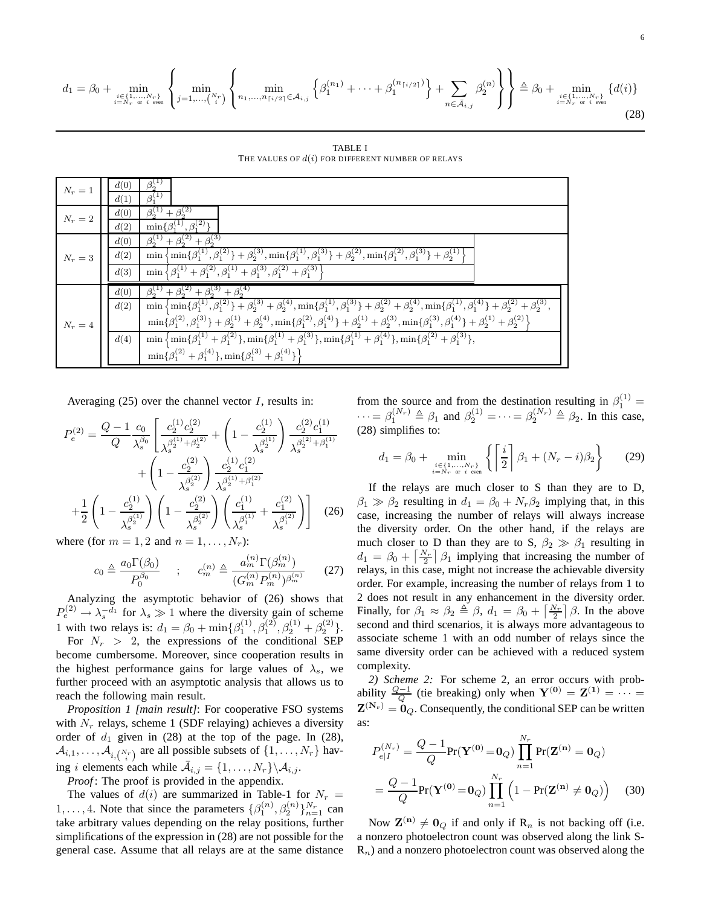$$
d_{1} = \beta_{0} + \min_{\substack{i \in \{1, \ldots, N_{r}\} \\ i = N_{r} \text{ or } i \text{ even}}} \left\{ \min_{j=1, \ldots, {N_{r}\choose i}} \left\{ \min_{n_{1}, \ldots, n_{\lceil i/2 \rceil} \in \mathcal{A}_{i,j}} \left\{ \beta_{1}^{(n_{1})} + \cdots + \beta_{1}^{(n_{\lceil i/2 \rceil})} \right\} + \sum_{n \in \bar{\mathcal{A}}_{i,j}} \beta_{2}^{(n)} \right\} \right\} \triangleq \beta_{0} + \min_{\substack{i \in \{1, \ldots, N_{r}\} \\ i = N_{r} \text{ or } i \text{ even}}} \{d(i)\}
$$
\n
$$
(28)
$$

TABLE I THE VALUES OF  $d(i)$  FOR DIFFERENT NUMBER OF RELAYS

| $N_r=1$ | $\beta_{0}^{(1)}$<br>d(0)<br>$\beta_{1}^{(1)}$<br>d(1)                                                                                                                                                                                                                                                                                                                                                                                                                                                                                                                                                                                                                                                                                                                             |
|---------|------------------------------------------------------------------------------------------------------------------------------------------------------------------------------------------------------------------------------------------------------------------------------------------------------------------------------------------------------------------------------------------------------------------------------------------------------------------------------------------------------------------------------------------------------------------------------------------------------------------------------------------------------------------------------------------------------------------------------------------------------------------------------------|
| $N_r=2$ | $\beta_2^{(1)} + \beta_2^{(2)}$<br>d(0)<br>$\min\{\beta_1^{(1)}, \beta_1^{(2)}\}\$<br>d(2)                                                                                                                                                                                                                                                                                                                                                                                                                                                                                                                                                                                                                                                                                         |
| $N_r=3$ | $\beta_2^{(1)} + \beta_2^{(2)} + \beta_2^{(3)}$<br>d(0)<br>$\min\left\{\min\{\beta_1^{(1)},\beta_1^{(2)}\}+\beta_2^{(3)},\min\{\beta_1^{(1)},\beta_1^{(3)}\}+\beta_2^{(2)},\min\{\beta_1^{(2)},\beta_1^{(3)}\}+\beta_2^{(1)}\right\}$<br>d(2)<br>$\min \left\{ \beta_1^{(1)} + \beta_1^{(2)}, \beta_1^{(1)} + \beta_1^{(3)}, \beta_1^{(2)} + \beta_1^{(3)} \right\}$<br>d(3)                                                                                                                                                                                                                                                                                                                                                                                                       |
| $N_r=4$ | $\beta_2^{(1)} + \beta_2^{(2)} + \beta_2^{(3)} + \beta_2^{(4)}$<br>d(0)<br>$\min\left\{\min\{\beta_1^{(1)},\beta_1^{(2)}\}+\beta_2^{(3)}+\beta_2^{(4)},\min\{\beta_1^{(1)},\beta_1^{(3)}\}+\beta_2^{(2)}+\beta_2^{(4)},\min\{\beta_1^{(1)},\beta_1^{(4)}\}+\beta_2^{(2)}+\beta_2^{(3)},\right.\\$<br>d(2)<br>$\min\{\beta_1^{(2)},\beta_1^{(3)}\}+\beta_2^{(1)}+\beta_2^{(4)},\min\{\beta_1^{(2)},\beta_1^{(4)}\}+\beta_2^{(1)}+\beta_2^{(3)},\min\{\beta_1^{(3)},\beta_1^{(4)}\}+\beta_2^{(1)}+\beta_2^{(2)}\}$<br>$\min\left\{\min\{\beta_1^{(1)}+\beta_1^{(2)}\},\min\{\beta_1^{(1)}+\beta_1^{(3)}\},\min\{\beta_1^{(1)}+\beta_1^{(4)}\},\min\{\beta_1^{(2)}+\beta_1^{(3)}\},\right.\\$<br>d(4)<br>$\min\{\beta_1^{(2)}+\beta_1^{(4)}\},\min\{\beta_1^{(3)}+\beta_1^{(4)}\}\}\$ |

Averaging  $(25)$  over the channel vector *I*, results in:

$$
P_e^{(2)} = \frac{Q - 1}{Q} \frac{c_0}{\lambda_s^{\beta_0}} \left[ \frac{c_2^{(1)} c_2^{(2)}}{\lambda_s^{\beta_2^{(1)} + \beta_2^{(2)}}} + \left( 1 - \frac{c_2^{(1)}}{\lambda_s^{\beta_2^{(1)}}} \right) \frac{c_2^{(2)} c_1^{(1)}}{\lambda_s^{\beta_2^{(2)} + \beta_1^{(1)}}} + \left( 1 - \frac{c_2^{(2)}}{\lambda_s^{\beta_2^{(2)}}} \right) \frac{c_2^{(1)} c_1^{(2)}}{\lambda_s^{\beta_2^{(1)} + \beta_1^{(2)}}} + \frac{1}{2} \left( 1 - \frac{c_2^{(1)}}{\lambda_s^{\beta_2^{(1)}}} \right) \left( 1 - \frac{c_2^{(2)}}{\lambda_s^{\beta_2^{(2)}}} \right) \left( \frac{c_1^{(1)}}{\lambda_s^{\beta_1^{(1)}}} + \frac{c_1^{(2)}}{\lambda_s^{\beta_1^{(2)}}} \right) \right]
$$
(26)

where (for  $m = 1, 2$  and  $n = 1, \ldots, N_r$ ):

$$
c_0 \triangleq \frac{a_0 \Gamma(\beta_0)}{P_0^{\beta_0}} \qquad ; \qquad c_m^{(n)} \triangleq \frac{a_m^{(n)} \Gamma(\beta_m^{(n)})}{(G_m^{(n)} P_m^{(n)})^{\beta_m^{(n)}}} \qquad (27)
$$

Analyzing the asymptotic behavior of (26) shows that  $P_e^{(2)} \rightarrow \lambda_s^{-d_1}$  for  $\lambda_s \gg 1$  where the diversity gain of scheme 1 with two relays is:  $d_1 = \beta_0 + \min{\{\beta_1^{(1)}, \beta_1^{(2)}, \beta_2^{(1)} + \beta_2^{(2)}\}}$ .

For  $N_r > 2$ , the expressions of the conditional SEP become cumbersome. Moreover, since cooperation results in the highest performance gains for large values of  $\lambda_s$ , we further proceed with an asymptotic analysis that allows us to reach the following main result.

*Proposition 1 [main result]*: For cooperative FSO systems with  $N_r$  relays, scheme 1 (SDF relaying) achieves a diversity order of  $d_1$  given in (28) at the top of the page. In (28),  $\mathcal{A}_{i,1}, \ldots, \mathcal{A}_{i, {N_r \choose i}}$  are all possible subsets of  $\{1, \ldots, N_r\}$  having i elements each while  $\bar{\mathcal{A}}_{i,j} = \{1, \ldots, N_r\} \backslash \mathcal{A}_{i,j}$ .

*Proof*: The proof is provided in the appendix.

The values of  $d(i)$  are summarized in Table-1 for  $N_r =$ 1, ..., 4. Note that since the parameters  $\{\beta_1^{(n)}, \beta_2^{(n)}\}_{n=1}^{N_r}$  can take arbitrary values depending on the relay positions, further simplifications of the expression in (28) are not possible for the general case. Assume that all relays are at the same distance

from the source and from the destination resulting in  $\beta_1^{(1)}$  =  $\cdots = \beta_1^{(N_r)} \triangleq \beta_1$  and  $\beta_2^{(1)} = \cdots = \beta_2^{(N_r)} \triangleq \beta_2$ . In this case, (28) simplifies to:

$$
d_1 = \beta_0 + \min_{\substack{i \in \{1, ..., N_r\} \\ i = N_r \text{ or } i \text{ even}}} \left\{ \left\lceil \frac{i}{2} \right\rceil \beta_1 + (N_r - i)\beta_2 \right\} \tag{29}
$$

If the relays are much closer to S than they are to D,  $\beta_1 \gg \beta_2$  resulting in  $d_1 = \beta_0 + N_r \beta_2$  implying that, in this case, increasing the number of relays will always increase the diversity order. On the other hand, if the relays are much closer to D than they are to S,  $\beta_2 \gg \beta_1$  resulting in  $d_1 = \beta_0 + \left[\frac{N_r}{2}\right]\beta_1$  implying that increasing the number of relays, in this case, might not increase the achievable diversity order. For example, increasing the number of relays from 1 to 2 does not result in any enhancement in the diversity order. Finally, for  $\beta_1 \approx \beta_2 \triangleq \beta$ ,  $d_1 = \beta_0 + \left[\frac{N_r}{2}\right] \beta$ . In the above second and third scenarios, it is always more advantageous to associate scheme 1 with an odd number of relays since the same diversity order can be achieved with a reduced system complexity.

*2) Scheme 2:* For scheme 2, an error occurs with probability  $\frac{Q-1}{Q}$  (tie breaking) only when  $\mathbf{Y}^{(0)} = \mathbf{Z}^{(1)} = \cdots =$  $\mathbf{Z}^{(\mathbf{N}_{\mathbf{r}})} = \mathbf{0}_Q$ . Consequently, the conditional SEP can be written as:

$$
P_{e|I}^{(N_r)} = \frac{Q - 1}{Q} \text{Pr}(\mathbf{Y}^{(0)} = \mathbf{0}_Q) \prod_{n=1}^{N_r} \text{Pr}(\mathbf{Z}^{(\mathbf{n})} = \mathbf{0}_Q)
$$

$$
= \frac{Q - 1}{Q} \text{Pr}(\mathbf{Y}^{(0)} = \mathbf{0}_Q) \prod_{n=1}^{N_r} \left(1 - \text{Pr}(\mathbf{Z}^{(\mathbf{n})} \neq \mathbf{0}_Q)\right) \tag{30}
$$

Now  $\mathbf{Z}^{(\mathbf{n})} \neq \mathbf{0}_Q$  if and only if  $\mathbf{R}_n$  is not backing off (i.e. a nonzero photoelectron count was observed along the link S- $R_n$ ) and a nonzero photoelectron count was observed along the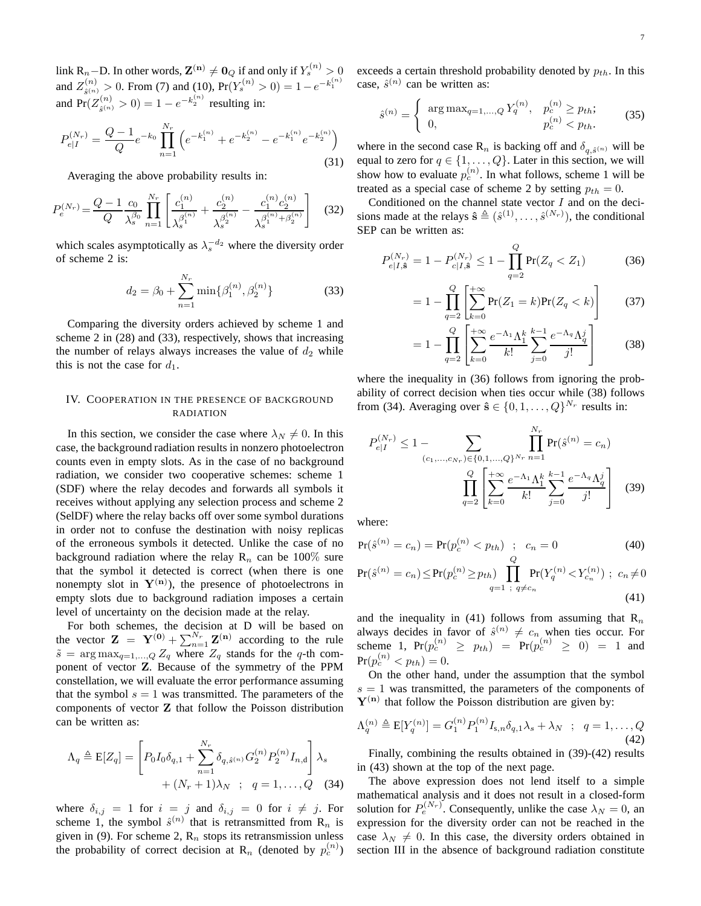link R<sub>n</sub>−D. In other words,  $\mathbf{Z^{(n)}} \neq \mathbf{0}_{Q}$  if and only if  $Y_{s}^{(n)} > 0$ and  $Z_{\hat{s}^{(n)}}^{(n)} > 0$ . From (7) and (10),  $Pr(Y_s^{(n)} > 0) = 1 - e^{-k_1^{(n)}}$ and  $Pr(Z_{\hat{s}^{(n)}}^{(n)} > 0) = 1 - e^{-k_2^{(n)}}$  resulting in:

$$
P_{e|I}^{(N_r)} = \frac{Q-1}{Q}e^{-k_0}\prod_{n=1}^{N_r} \left(e^{-k_1^{(n)}} + e^{-k_2^{(n)}} - e^{-k_1^{(n)}}e^{-k_2^{(n)}}\right)
$$
\n(31)

Averaging the above probability results in:

$$
P_e^{(N_r)} = \frac{Q-1}{Q} \frac{c_0}{\lambda_s^{\beta_0}} \prod_{n=1}^{N_r} \left[ \frac{c_1^{(n)}}{\lambda_s^{\beta_1^{(n)}}} + \frac{c_2^{(n)}}{\lambda_s^{\beta_2^{(n)}}} - \frac{c_1^{(n)}c_2^{(n)}}{\lambda_s^{\beta_1^{(n)} + \beta_2^{(n)}}} \right] \quad (32)
$$

which scales asymptotically as  $\lambda_s^{-d_2}$  where the diversity order of scheme 2 is:

$$
d_2 = \beta_0 + \sum_{n=1}^{N_r} \min\{\beta_1^{(n)}, \beta_2^{(n)}\} \tag{33}
$$

Comparing the diversity orders achieved by scheme 1 and scheme 2 in (28) and (33), respectively, shows that increasing the number of relays always increases the value of  $d_2$  while this is not the case for  $d_1$ .

# IV. COOPERATION IN THE PRESENCE OF BACKGROUND RADIATION

In this section, we consider the case where  $\lambda_N \neq 0$ . In this case, the background radiation results in nonzero photoelectron counts even in empty slots. As in the case of no background radiation, we consider two cooperative schemes: scheme 1 (SDF) where the relay decodes and forwards all symbols it receives without applying any selection process and scheme 2 (SelDF) where the relay backs off over some symbol durations in order not to confuse the destination with noisy replicas of the erroneous symbols it detected. Unlike the case of no background radiation where the relay  $R_n$  can be 100% sure that the symbol it detected is correct (when there is one nonempty slot in  $Y^{(n)}$ ), the presence of photoelectrons in empty slots due to background radiation imposes a certain level of uncertainty on the decision made at the relay.

For both schemes, the decision at D will be based on the vector  $\mathbf{Z} = \mathbf{Y}^{(0)} + \sum_{n=1}^{N_r} \mathbf{Z}^{(n)}$  according to the rule  $\tilde{s}$  = arg max<sub>q=1,...,Q</sub> Z<sub>q</sub> where Z<sub>q</sub> stands for the q-th component of vector Z. Because of the symmetry of the PPM constellation, we will evaluate the error performance assuming that the symbol  $s = 1$  was transmitted. The parameters of the components of vector Z that follow the Poisson distribution can be written as:

$$
\Lambda_q \triangleq \mathbf{E}[Z_q] = \left[ P_0 I_0 \delta_{q,1} + \sum_{n=1}^{N_r} \delta_{q,\hat{s}^{(n)}} G_2^{(n)} P_2^{(n)} I_{n,d} \right] \lambda_s + (N_r + 1) \lambda_N ; q = 1, ..., Q \quad (34)
$$

where  $\delta_{i,j} = 1$  for  $i = j$  and  $\delta_{i,j} = 0$  for  $i \neq j$ . For scheme 1, the symbol  $\hat{s}^{(n)}$  that is retransmitted from  $\mathbb{R}_n$  is given in (9). For scheme 2,  $R_n$  stops its retransmission unless the probability of correct decision at R<sub>n</sub> (denoted by  $p_c^{(n)}$ )

exceeds a certain threshold probability denoted by  $p_{th}$ . In this case,  $\hat{s}^{(n)}$  can be written as:

$$
\hat{s}^{(n)} = \begin{cases} \arg \max_{q=1,\dots,Q} Y_q^{(n)}, & p_c^{(n)} \ge p_{th}; \\ 0, & p_c^{(n)} < p_{th}. \end{cases} \tag{35}
$$

where in the second case  $\mathbf{R}_n$  is backing off and  $\delta_{q,\hat{s}^{(n)}}$  will be equal to zero for  $q \in \{1, \ldots, Q\}$ . Later in this section, we will show how to evaluate  $p_c^{(n)}$ . In what follows, scheme 1 will be treated as a special case of scheme 2 by setting  $p_{th} = 0$ .

Conditioned on the channel state vector  $I$  and on the decisions made at the relays  $\hat{\mathbf{s}} \triangleq (\hat{s}^{(1)}, \dots, \hat{s}^{(N_r)}),$  the conditional SEP can be written as:

$$
P_{e|I,\hat{\mathbf{s}}}^{(N_r)} = 1 - P_{c|I,\hat{\mathbf{s}}}^{(N_r)} \le 1 - \prod_{q=2}^{Q} \Pr(Z_q < Z_1) \tag{36}
$$

$$
= 1 - \prod_{q=2}^{Q} \left[ \sum_{k=0}^{+\infty} \Pr(Z_1 = k) \Pr(Z_q < k) \right] \tag{37}
$$

$$
=1-\prod_{q=2}^{Q}\left[\sum_{k=0}^{+\infty}\frac{e^{-\Lambda_1}\Lambda_1^k}{k!}\sum_{j=0}^{k-1}\frac{e^{-\Lambda_q}\Lambda_q^j}{j!}\right]
$$
(38)

where the inequality in  $(36)$  follows from ignoring the probability of correct decision when ties occur while (38) follows from (34). Averaging over  $\hat{\mathbf{s}} \in \{0, 1, ..., Q\}^{N_r}$  results in:

$$
P_{e|I}^{(N_r)} \le 1 - \sum_{(c_1, ..., c_{N_r}) \in \{0, 1, ..., Q\}^{N_r}} \prod_{n=1}^{N_r} \Pr(\hat{s}^{(n)} = c_n)
$$

$$
\prod_{q=2}^{Q} \left[ \sum_{k=0}^{+\infty} \frac{e^{-\Lambda_1} \Lambda_1^k}{k!} \sum_{j=0}^{k-1} \frac{e^{-\Lambda_q} \Lambda_q^j}{j!} \right]
$$
(39)

where:

$$
Pr(\hat{s}^{(n)} = c_n) = Pr(p_c^{(n)} < p_{th}) \quad ; \quad c_n = 0 \tag{40}
$$

$$
\Pr(\hat{s}^{(n)} = c_n) \le \Pr(p_c^{(n)} \ge p_{th}) \prod_{q=1}^{n} \Pr(Y_q^{(n)} < Y_{c_n}^{(n)}) \; ; \; c_n \ne 0
$$
\n(41)

and the inequality in (41) follows from assuming that  $\mathbb{R}_n$ always decides in favor of  $\hat{s}^{(n)} \neq c_n$  when ties occur. For scheme 1,  $Pr(p_c^{(n)} \ge p_{th}) = Pr(p_c^{(n)} \ge 0) = 1$  and  $Pr(p_c^{(n)} < p_{th}) = 0.$ 

On the other hand, under the assumption that the symbol  $s = 1$  was transmitted, the parameters of the components of  $Y^{(n)}$  that follow the Poisson distribution are given by:

$$
\Lambda_q^{(n)} \triangleq \mathbb{E}[Y_q^{(n)}] = G_1^{(n)} P_1^{(n)} I_{s,n} \delta_{q,1} \lambda_s + \lambda_N \; ; \; q = 1, \dots, Q
$$
\n(42)

Finally, combining the results obtained in (39)-(42) results in (43) shown at the top of the next page.

The above expression does not lend itself to a simple mathematical analysis and it does not result in a closed-form solution for  $P_e^{(N_r)}$ . Consequently, unlike the case  $\lambda_N = 0$ , an expression for the diversity order can not be reached in the case  $\lambda_N \neq 0$ . In this case, the diversity orders obtained in section III in the absence of background radiation constitute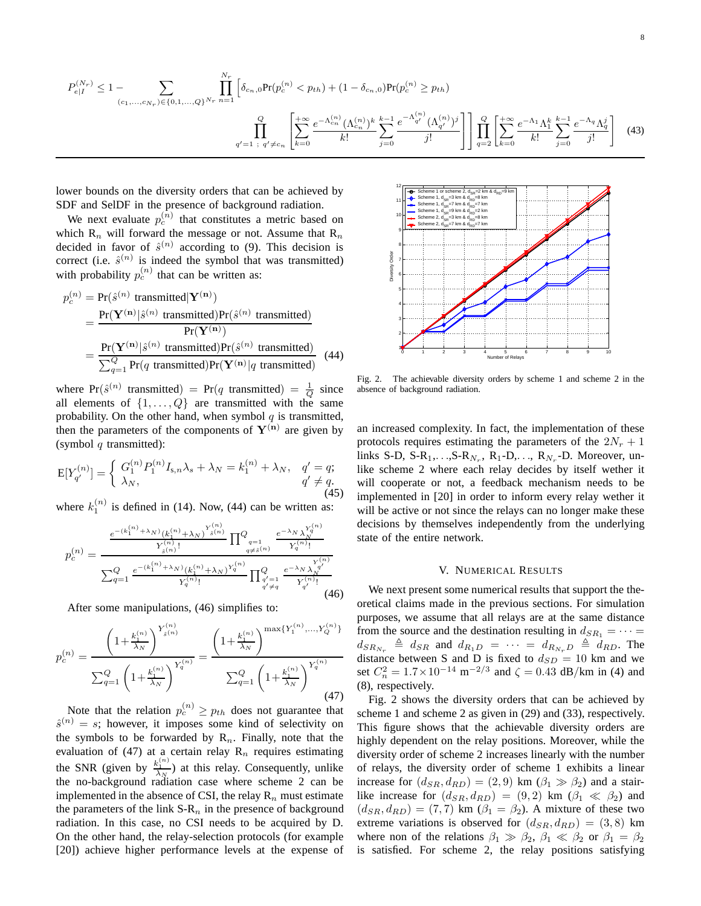$$
P_{e|I}^{(N_r)} \le 1 - \sum_{(c_1, \ldots, c_{N_r}) \in \{0, 1, \ldots, Q\}^{N_r}} \prod_{n=1}^{N_r} \left[ \delta_{c_n,0} \text{Pr}(p_c^{(n)} < p_{th}) + (1 - \delta_{c_n,0}) \text{Pr}(p_c^{(n)} \ge p_{th}) \right]
$$

$$
\prod_{q'=1}^Q \prod_{; \ q' \ne c_n} \left[ \sum_{k=0}^{+\infty} \frac{e^{-\Lambda_{c_n}^{(n)}} (\Lambda_{c_n}^{(n)})^k}{k!} \sum_{j=0}^{k-1} \frac{e^{-\Lambda_{q'}^{(n)}} (\Lambda_{q'}^{(n)})^j}{j!} \right] \prod_{q=2}^Q \left[ \sum_{k=0}^{+\infty} \frac{e^{-\Lambda_1} \Lambda_1^k}{k!} \sum_{j=0}^{k-1} \frac{e^{-\Lambda_q} \Lambda_q^j}{j!} \right] \tag{43}
$$

lower bounds on the diversity orders that can be achieved by SDF and SelDF in the presence of background radiation.

We next evaluate  $p_c^{(n)}$  that constitutes a metric based on which  $R_n$  will forward the message or not. Assume that  $R_n$ decided in favor of  $\hat{s}^{(n)}$  according to (9). This decision is correct (i.e.  $\hat{s}^{(n)}$  is indeed the symbol that was transmitted) with probability  $p_c^{(n)}$  that can be written as:

$$
p_c^{(n)} = \Pr(\hat{s}^{(n)} \text{ transmitted} | \mathbf{Y}^{(\mathbf{n})})
$$
  
= 
$$
\frac{\Pr(\mathbf{Y}^{(\mathbf{n})} | \hat{s}^{(n)} \text{ transmitted}) \Pr(\hat{s}^{(n)} \text{ transmitted})}{\Pr(\mathbf{Y}^{(\mathbf{n})})}
$$
  
= 
$$
\frac{\Pr(\mathbf{Y}^{(\mathbf{n})} | \hat{s}^{(n)} \text{ transmitted}) \Pr(\hat{s}^{(n)} \text{ transmitted})}{\sum_{q=1}^{Q} \Pr(q \text{ transmitted}) \Pr(\mathbf{Y}^{(\mathbf{n})} | q \text{ transmitted})}
$$
(44)

where  $Pr(\hat{s}^{(n)}$  transmitted) =  $Pr(q \text{ transmitted}) = \frac{1}{Q}$  since all elements of  $\{1, \ldots, Q\}$  are transmitted with the same probability. On the other hand, when symbol  $q$  is transmitted, then the parameters of the components of  $Y^{(n)}$  are given by (symbol  $q$  transmitted):

$$
E[Y_{q'}^{(n)}] = \begin{cases} G_1^{(n)} P_1^{(n)} I_{s,n} \lambda_s + \lambda_N = k_1^{(n)} + \lambda_N, & q' = q; \\ \lambda_N, & q' \neq q. \end{cases}
$$
(45)

where  $k_1^{(n)}$  is defined in (14). Now, (44) can be written as:

$$
p_c^{(n)} = \frac{\frac{e^{-(k_1^{(n)} + \lambda_N)}(k_1^{(n)} + \lambda_N)^{Y_{\hat{s}(n)}^{(n)}}}{Y_{\hat{s}(n)}^{(n)}!} \prod_{q=1}^Q \frac{e^{-\lambda_N} \lambda_N^{Y_q^{(n)}}}{Y_q^{(n)}!}}{\sum_{q=1}^Q \frac{e^{-(k_1^{(n)} + \lambda_N)}(k_1^{(n)} + \lambda_N)^{Y_q^{(n)}}}{Y_q^{(n)}!} \prod_{\substack{q'=1 \\ q' \neq q}}^Q \frac{e^{-\lambda_N} \lambda_N^{Y_q^{(n)}}}{Y_{q'}^{(n)}!}}
$$
(46)

After some manipulations, (46) simplifies to:

$$
p_c^{(n)} = \frac{\left(1 + \frac{k_1^{(n)}}{\lambda_N}\right)^{Y_{\hat{s}(n)}^{(n)}}}{\sum_{q=1}^Q \left(1 + \frac{k_1^{(n)}}{\lambda_N}\right)^{Y_q^{(n)}}} = \frac{\left(1 + \frac{k_1^{(n)}}{\lambda_N}\right)^{\max\{Y_1^{(n)}, \dots, Y_Q^{(n)}\}}}{\sum_{q=1}^Q \left(1 + \frac{k_1^{(n)}}{\lambda_N}\right)^{Y_q^{(n)}}}
$$
\n(47)

Note that the relation  $p_c^{(n)} \geq p_{th}$  does not guarantee that  $\hat{s}^{(n)} = s$ ; however, it imposes some kind of selectivity on the symbols to be forwarded by  $R_n$ . Finally, note that the evaluation of (47) at a certain relay  $R_n$  requires estimating the SNR (given by  $\frac{k_1^{(n)}}{\lambda_N}$ ) at this relay. Consequently, unlike the no-background radiation case where scheme 2 can be implemented in the absence of CSI, the relay  $\mathbb{R}_n$  must estimate the parameters of the link  $S-R_n$  in the presence of background radiation. In this case, no CSI needs to be acquired by D. On the other hand, the relay-selection protocols (for example [20]) achieve higher performance levels at the expense of



Fig. 2. The achievable diversity orders by scheme 1 and scheme 2 in the absence of background radiation.

an increased complexity. In fact, the implementation of these protocols requires estimating the parameters of the  $2N_r + 1$ links S-D, S-R<sub>1</sub>,...,S-R<sub>N<sub>r</sub></sub>, R<sub>1</sub>-D,..., R<sub>N<sub>r</sub></sub>-D. Moreover, unlike scheme 2 where each relay decides by itself wether it will cooperate or not, a feedback mechanism needs to be implemented in [20] in order to inform every relay wether it will be active or not since the relays can no longer make these decisions by themselves independently from the underlying state of the entire network.

#### V. NUMERICAL RESULTS

We next present some numerical results that support the theoretical claims made in the previous sections. For simulation purposes, we assume that all relays are at the same distance from the source and the destination resulting in  $d_{SR_1} = \cdots =$  $d_{SR_{N_r}} \triangleq d_{SR}$  and  $d_{R_1D} = \cdots = d_{R_{N_r}D} \triangleq d_{RD}$ . The distance between S and D is fixed to  $d_{SD} = 10$  km and we set  $C_n^2 = 1.7 \times 10^{-14} \text{ m}^{-2/3}$  and  $\zeta = 0.43 \text{ dB/km}$  in (4) and (8), respectively.

Fig. 2 shows the diversity orders that can be achieved by scheme 1 and scheme 2 as given in (29) and (33), respectively. This figure shows that the achievable diversity orders are highly dependent on the relay positions. Moreover, while the diversity order of scheme 2 increases linearly with the number of relays, the diversity order of scheme 1 exhibits a linear increase for  $(d_{SR}, d_{RD}) = (2, 9)$  km  $(\beta_1 \gg \beta_2)$  and a stairlike increase for  $(d_{SR}, d_{RD}) = (9, 2)$  km  $(\beta_1 \ll \beta_2)$  and  $(d_{SR}, d_{RD}) = (7, 7)$  km  $(\beta_1 = \beta_2)$ . A mixture of these two extreme variations is observed for  $(d_{SR}, d_{RD}) = (3, 8)$  km where non of the relations  $\beta_1 \gg \beta_2$ ,  $\beta_1 \ll \beta_2$  or  $\beta_1 = \beta_2$ is satisfied. For scheme 2, the relay positions satisfying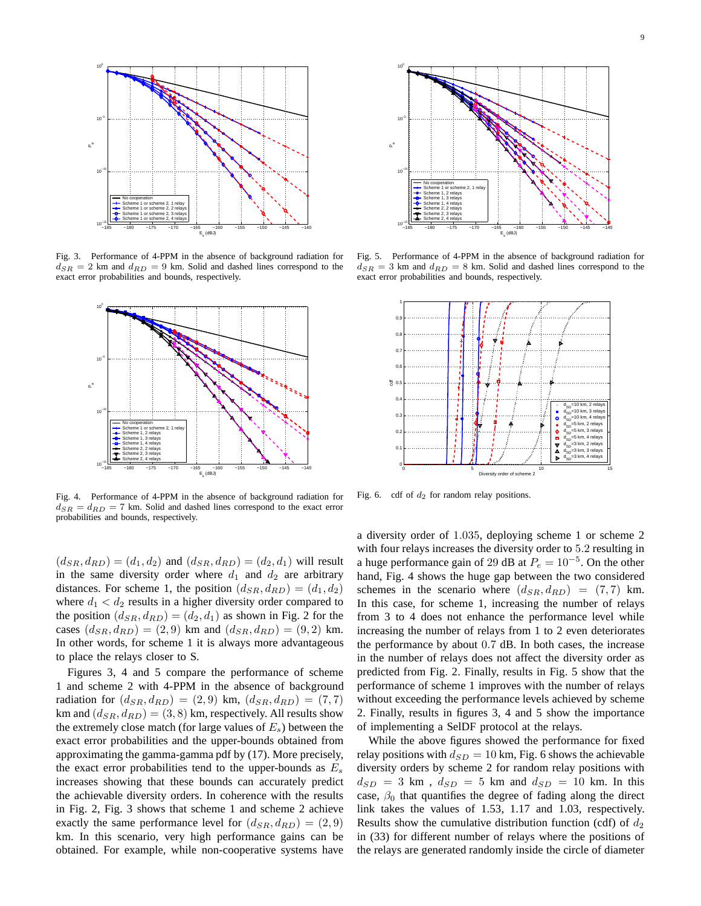

Fig. 3. Performance of 4-PPM in the absence of background radiation for  $d_{SR} = 2$  km and  $d_{RD} = 9$  km. Solid and dashed lines correspond to the exact error probabilities and bounds, respectively.



Fig. 4. Performance of 4-PPM in the absence of background radiation for  $d_{SB} = d_{RD} = 7$  km. Solid and dashed lines correspond to the exact error probabilities and bounds, respectively.

 $(d_{SR}, d_{RD}) = (d_1, d_2)$  and  $(d_{SR}, d_{RD}) = (d_2, d_1)$  will result in the same diversity order where  $d_1$  and  $d_2$  are arbitrary distances. For scheme 1, the position  $(d_{SR}, d_{RD}) = (d_1, d_2)$ where  $d_1 < d_2$  results in a higher diversity order compared to the position  $(d_{SR}, d_{RD}) = (d_2, d_1)$  as shown in Fig. 2 for the cases  $(d_{SR}, d_{RD}) = (2, 9)$  km and  $(d_{SR}, d_{RD}) = (9, 2)$  km. In other words, for scheme 1 it is always more advantageous to place the relays closer to S.

Figures 3, 4 and 5 compare the performance of scheme 1 and scheme 2 with 4-PPM in the absence of background radiation for  $(d_{SR}, d_{RD}) = (2, 9)$  km,  $(d_{SR}, d_{RD}) = (7, 7)$ km and  $(d_{SR}, d_{RD}) = (3, 8)$  km, respectively. All results show the extremely close match (for large values of  $E_s$ ) between the exact error probabilities and the upper-bounds obtained from approximating the gamma-gamma pdf by (17). More precisely, the exact error probabilities tend to the upper-bounds as  $E_s$ increases showing that these bounds can accurately predict the achievable diversity orders. In coherence with the results in Fig. 2, Fig. 3 shows that scheme 1 and scheme 2 achieve exactly the same performance level for  $(d_{SR}, d_{RD}) = (2, 9)$ km. In this scenario, very high performance gains can be obtained. For example, while non-cooperative systems have



Fig. 5. Performance of 4-PPM in the absence of background radiation for  $d_{SR} = 3$  km and  $d_{RD} = 8$  km. Solid and dashed lines correspond to the exact error probabilities and bounds, respectively.



Fig. 6. cdf of  $d_2$  for random relay positions.

a diversity order of 1.035, deploying scheme 1 or scheme 2 with four relays increases the diversity order to 5.2 resulting in a huge performance gain of 29 dB at  $P_e = 10^{-5}$ . On the other hand, Fig. 4 shows the huge gap between the two considered schemes in the scenario where  $(d_{SR}, d_{RD}) = (7, 7)$  km. In this case, for scheme 1, increasing the number of relays from 3 to 4 does not enhance the performance level while increasing the number of relays from 1 to 2 even deteriorates the performance by about 0.7 dB. In both cases, the increase in the number of relays does not affect the diversity order as predicted from Fig. 2. Finally, results in Fig. 5 show that the performance of scheme 1 improves with the number of relays without exceeding the performance levels achieved by scheme 2. Finally, results in figures 3, 4 and 5 show the importance of implementing a SelDF protocol at the relays.

While the above figures showed the performance for fixed relay positions with  $d_{SD} = 10$  km, Fig. 6 shows the achievable diversity orders by scheme 2 for random relay positions with  $d_{SD}$  = 3 km,  $d_{SD}$  = 5 km and  $d_{SD}$  = 10 km. In this case,  $\beta_0$  that quantifies the degree of fading along the direct link takes the values of 1.53, 1.17 and 1.03, respectively. Results show the cumulative distribution function (cdf) of  $d_2$ in (33) for different number of relays where the positions of the relays are generated randomly inside the circle of diameter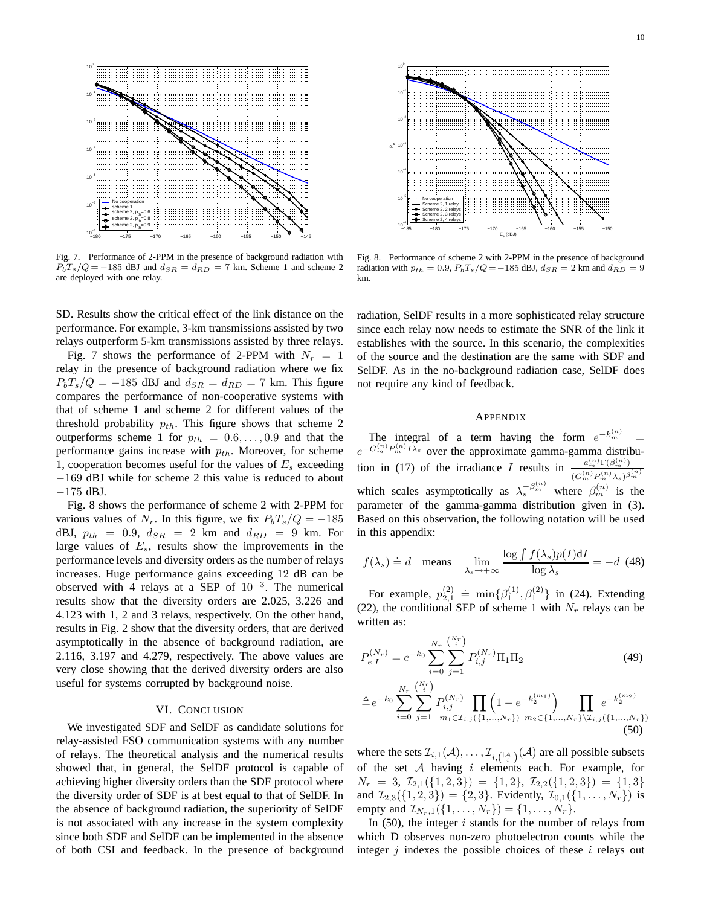

Fig. 7. Performance of 2-PPM in the presence of background radiation with  $P_bT_s/Q = -185$  dBJ and  $d_{SR} = d_{RD} = 7$  km. Scheme 1 and scheme 2 are deployed with one relay.

SD. Results show the critical effect of the link distance on the performance. For example, 3-km transmissions assisted by two relays outperform 5-km transmissions assisted by three relays.

Fig. 7 shows the performance of 2-PPM with  $N_r = 1$ relay in the presence of background radiation where we fix  $P_bT_s/Q = -185$  dBJ and  $d_{SR} = d_{RD} = 7$  km. This figure compares the performance of non-cooperative systems with that of scheme 1 and scheme 2 for different values of the threshold probability  $p_{th}$ . This figure shows that scheme 2 outperforms scheme 1 for  $p_{th} = 0.6, \ldots, 0.9$  and that the performance gains increase with  $p_{th}$ . Moreover, for scheme 1, cooperation becomes useful for the values of  $E_s$  exceeding −169 dBJ while for scheme 2 this value is reduced to about −175 dBJ.

Fig. 8 shows the performance of scheme 2 with 2-PPM for various values of  $N_r$ . In this figure, we fix  $P_bT_s/Q = -185$ dBJ,  $p_{th} = 0.9$ ,  $d_{SR} = 2$  km and  $d_{RD} = 9$  km. For large values of  $E_s$ , results show the improvements in the performance levels and diversity orders as the number of relays increases. Huge performance gains exceeding 12 dB can be observed with 4 relays at a SEP of  $10^{-3}$ . The numerical results show that the diversity orders are 2.025, 3.226 and 4.123 with 1, 2 and 3 relays, respectively. On the other hand, results in Fig. 2 show that the diversity orders, that are derived asymptotically in the absence of background radiation, are 2.116, 3.197 and 4.279, respectively. The above values are very close showing that the derived diversity orders are also useful for systems corrupted by background noise.

### VI. CONCLUSION

We investigated SDF and SelDF as candidate solutions for relay-assisted FSO communication systems with any number of relays. The theoretical analysis and the numerical results showed that, in general, the SelDF protocol is capable of achieving higher diversity orders than the SDF protocol where the diversity order of SDF is at best equal to that of SelDF. In the absence of background radiation, the superiority of SelDF is not associated with any increase in the system complexity since both SDF and SelDF can be implemented in the absence of both CSI and feedback. In the presence of background



Fig. 8. Performance of scheme 2 with 2-PPM in the presence of background radiation with  $p_{th} = 0.9$ ,  $P_bT_s/Q = -185$  dBJ,  $d_{SR} = 2$  km and  $d_{RD} = 9$ km.

radiation, SelDF results in a more sophisticated relay structure since each relay now needs to estimate the SNR of the link it establishes with the source. In this scenario, the complexities of the source and the destination are the same with SDF and SelDF. As in the no-background radiation case, SelDF does not require any kind of feedback.

#### APPENDIX

The integral of a term having the form  $e^{-k_m^{(n)}} =$  $e^{-G_m^{(n)}P_m^{(n)}I\bar{\lambda}_s}$  over the approximate gamma-gamma distribution in (17) of the irradiance I results in  $\binom{(n)}{m}\Gamma(\beta^{(n)}_m)$  $(G_m^{(n)}P_m^{(n)}\lambda_s)^{\beta_m^{(n)}}$ which scales asymptotically as  $\lambda_s^{-\beta_m^{(n)}}$  where  $\beta_m^{(n)}$  is the parameter of the gamma-gamma distribution given in (3). Based on this observation, the following notation will be used in this appendix:

$$
f(\lambda_s) \doteq d \quad \text{means} \quad \lim_{\lambda_s \to +\infty} \frac{\log \int f(\lambda_s) p(I) \, \mathrm{d}I}{\log \lambda_s} = -d \tag{48}
$$

For example,  $p_{2,1}^{(2)} \doteq \min\{\beta_1^{(1)}, \beta_1^{(2)}\}\$ in (24). Extending (22), the conditional SEP of scheme 1 with  $N_r$  relays can be written as:

$$
P_{e|I}^{(N_r)} = e^{-k_0} \sum_{i=0}^{N_r} \sum_{j=1}^{N_r} P_{i,j}^{(N_r)} \Pi_1 \Pi_2
$$
 (49)

$$
\triangleq e^{-k_0} \sum_{i=0}^{N_r} \sum_{j=1}^{N_r} P_{i,j}^{(N_r)} \prod_{m_1 \in \mathcal{I}_{i,j}(\{1,\dots,N_r\})} \prod_{m_2 \in \{1,\dots,N_r\} \setminus \mathcal{I}_{i,j}(\{1,\dots,N_r\})} e^{-k_2^{(m_2)}}
$$
\n(50)

where the sets  $\mathcal{I}_{i,1}(\mathcal{A}), \dots, \mathcal{I}_{i, \binom{|\mathcal{A}|}{i}}(\mathcal{A})$  are all possible subsets of the set  $A$  having  $i$  elements each. For example, for  $N_r = 3, \mathcal{I}_{2,1}(\{1,2,3\}) = \{1,2\}, \mathcal{I}_{2,2}(\{1,2,3\}) = \{1,3\}$ and  $\mathcal{I}_{2,3}(\{1,2,3\}) = \{2,3\}$ . Evidently,  $\mathcal{I}_{0,1}(\{1,\ldots,N_r\})$  is empty and  $\mathcal{I}_{N_r,1}(\{1,\ldots,N_r\}) = \{1,\ldots,N_r\}.$ 

In  $(50)$ , the integer i stands for the number of relays from which D observes non-zero photoelectron counts while the integer  $j$  indexes the possible choices of these  $i$  relays out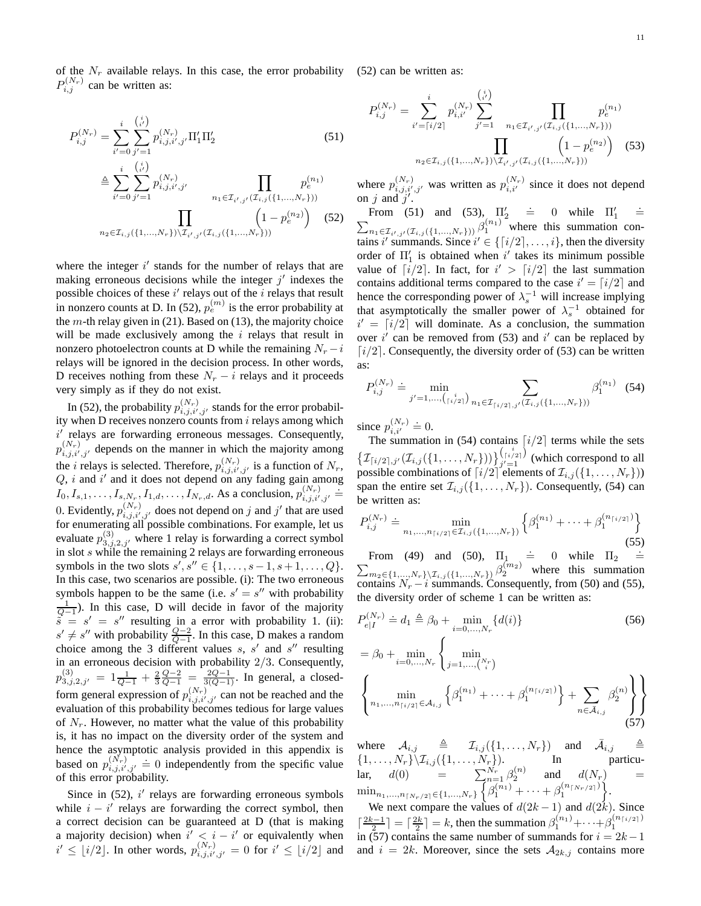11

of the  $N_r$  available relays. In this case, the error probability (52) can be written as:  $P_{i,j}^{(N_r)}$  can be written as:

$$
P_{i,j}^{(N_r)} = \sum_{i'=0}^{i} \sum_{j'=1}^{{i \choose i'}} p_{i,j,i',j'}^{(N_r)} \Pi_1' \Pi_2'
$$
(51)  

$$
\triangleq \sum_{i'=0}^{i} \sum_{j'=1}^{{i \choose i'}} p_{i,j,i',j'}^{(N_r)} \prod_{n_1 \in \mathcal{I}_{i',j'}(\mathcal{I}_{i,j}(\{1,...,N_r\}))} p_e^{(n_1)}
$$
  

$$
\prod_{n_2 \in \mathcal{I}_{i,j}(\{1,...,N_r\}) \setminus \mathcal{I}_{i',j'}(\mathcal{I}_{i,j}(\{1,...,N_r\}))} \left(1 - p_e^{(n_2)}\right)
$$
(52)

where the integer  $i'$  stands for the number of relays that are making erroneous decisions while the integer  $j'$  indexes the possible choices of these  $i'$  relays out of the  $i$  relays that result in nonzero counts at D. In (52),  $p_e^{(m)}$  is the error probability at the  $m$ -th relay given in (21). Based on (13), the majority choice will be made exclusively among the  $i$  relays that result in nonzero photoelectron counts at D while the remaining  $N_r - i$ relays will be ignored in the decision process. In other words, D receives nothing from these  $N_r - i$  relays and it proceeds very simply as if they do not exist.

In (52), the probability  $p_{i,j,i',j'}^{(N_r)}$  stands for the error probability when D receives nonzero counts from  $i$  relays among which i' relays are forwarding erroneous messages. Consequently,  $p_{i,j,i',j'}^{(N_r)}$  depends on the manner in which the majority among the *i* relays is selected. Therefore,  $p_{i,j,i',j'}^{(N_r)}$  is a function of  $N_r$ ,  $Q$ , i and i' and it does not depend on any fading gain among  $I_0, I_{s,1}, \ldots, I_{s,N_r}, I_{1,d}, \ldots, I_{N_r,d}$ . As a conclusion,  $p_{i,j,i',j'}^{(N_r)} \doteq$ 0. Evidently,  $p_{i,j,i',j'}^{(N_r)}$  does not depend on j and j' that are used for enumerating all possible combinations. For example, let us evaluate  $p_{3,j,2,j'}^{(3)}$  where 1 relay is forwarding a correct symbol in slot s while the remaining 2 relays are forwarding erroneous symbols in the two slots  $s', s'' \in \{1, ..., s - 1, s + 1, ..., Q\}.$ In this case, two scenarios are possible. (i): The two erroneous symbols happen to be the same (i.e.  $s' = s''$  with probability  $\frac{1}{Q-1}$ ). In this case, D will decide in favor of the majority  $\tilde{s} = s' = s''$  resulting in a error with probability 1. (ii):  $s' \neq s''$  with probability  $\frac{Q-2}{Q-1}$ . In this case, D makes a random choice among the 3 different values  $s, s'$  and  $s''$  resulting in an erroneous decision with probability 2/3. Consequently,  $p_{3,j,2,j'}^{(3)} = 1\frac{1}{Q-1} + \frac{2}{3}\frac{Q-2}{Q-1} = \frac{2Q-1}{3(Q-1)}$ . In general, a closedform general expression of  $p_{i,j,i',j'}^{(N_r)}$  can not be reached and the evaluation of this probability becomes tedious for large values of  $N_r$ . However, no matter what the value of this probability is, it has no impact on the diversity order of the system and hence the asymptotic analysis provided in this appendix is based on  $p_{i,j,i',j'}^{(N_r)} = 0$  independently from the specific value of this error probability.

Since in  $(52)$ , i' relays are forwarding erroneous symbols while  $i - i'$  relays are forwarding the correct symbol, then a correct decision can be guaranteed at D (that is making a majority decision) when  $i' < i - i'$  or equivalently when  $i' \leq \lfloor i/2 \rfloor$ . In other words,  $p_{i,j,i',j'}^{(N_r)} = 0$  for  $i' \leq \lfloor i/2 \rfloor$  and

$$
P_{i,j}^{(N_r)} = \sum_{i'= \lceil i/2 \rceil}^{i} p_{i,i'}^{(N_r)} \sum_{j'=1}^{\binom{i}{i'}} \prod_{n_1 \in \mathcal{I}_{i',j'}(\mathcal{I}_{i,j}(\{1,\ldots,N_r\}))} p_e^{(n_1)}
$$

$$
\prod_{n_2 \in \mathcal{I}_{i,j}(\{1,\ldots,N_r\}) \setminus \mathcal{I}_{i',j'}(\mathcal{I}_{i,j}(\{1,\ldots,N_r\}))} \left(1 - p_e^{(n_2)}\right) \tag{53}
$$

where  $p_{i,j,i',j'}^{(N_r)}$  was written as  $p_{i,i'}^{(N_r)}$  since it does not depend on  $j$  and  $j'$ .

From (51) and (53),  $\Pi_2' = 0$  while  $\Pi_1' =$  $\sum_{n_1 \in \mathcal{I}_{i',j'}(\mathcal{I}_{i,j}(\{1,...,N_r\}))} \beta_1^{(n_1)}$  where this summation contains i' summands. Since  $i' \in \{ [i/2], \ldots, i \}$ , then the diversity order of  $\Pi'_1$  is obtained when i' takes its minimum possible value of  $\lceil i/2 \rceil$ . In fact, for  $i' > \lceil i/2 \rceil$  the last summation contains additional terms compared to the case  $i' = \lceil i/2 \rceil$  and hence the corresponding power of  $\lambda_s^{-1}$  will increase implying that asymptotically the smaller power of  $\lambda_s^{-1}$  obtained for  $i' = \lfloor i/2 \rfloor$  will dominate. As a conclusion, the summation over  $i'$  can be removed from (53) and  $i'$  can be replaced by  $[i/2]$ . Consequently, the diversity order of (53) can be written as:

$$
P_{i,j}^{(N_r)} \doteq \min_{j'=1,\dots,\binom{i}{i/2}} \sum_{n_1 \in \mathcal{I}_{\lceil i/2 \rceil,j'}(\mathcal{I}_{i,j}(\{1,\dots,N_r\}))} \beta_1^{(n_1)} \quad (54)
$$

since  $p_{i,i'}^{(N_r)} \doteq 0$ .

The summation in (54) contains  $\lceil i/2 \rceil$  terms while the sets  $\{\mathcal{I}_{\lceil i/2 \rceil, j'}(\mathcal{I}_{i,j}(\{1,\ldots,N_r\}))\}_{i'=1}^{\binom{i}{\lceil i/2 \rceil}}$  $j'=1$  (which correspond to all possible combinations of  $[i/2]$  elements of  $\mathcal{I}_{i,j}(\{1,\ldots,N_r\})$ ) span the entire set  $\mathcal{I}_{i,j}(\{1,\ldots,N_r\})$ . Consequently, (54) can be written as:

$$
P_{i,j}^{(N_r)} \doteq \min_{n_1,\dots,n_{\lceil i/2\rceil} \in \mathcal{I}_{i,j}(\{1,\dots,N_r\})} \left\{ \beta_1^{(n_1)} + \dots + \beta_1^{(n_{\lceil i/2 \rceil})} \right\}
$$
(55)

From (49) and (50),  $\Pi_1$  $\dot{=}$  0 while  $\Pi_2$ . From (49) and (50),  $\Pi_1 \doteq 0$  while  $\Pi_2 \doteq \sum_{m_2 \in \{1, ..., N_r\} \setminus \mathcal{I}_{i,j}(\{1, ..., N_r\})} \beta_2^{(m_2)}$  where this summation contains  $N_r - i$  summands. Consequently, from (50) and (55), the diversity order of scheme 1 can be written as:

$$
P_{e|I}^{(N_r)} \doteq d_1 \triangleq \beta_0 + \min_{i=0,...,N_r} \{d(i)\}
$$
  
=  $\beta_0 + \min_{i=0,...,N_r} \left\{ \min_{j=1,..., {N_r \choose i}} \right\}$  (56)

$$
\left\{\min_{n_1,\dots,n_{\lceil i/2\rceil}\in\mathcal{A}_{i,j}}\left\{\beta_1^{(n_1)}+\dots+\beta_1^{(n_{\lceil i/2\rceil})}\right\}+\sum_{n\in\bar{\mathcal{A}}_{i,j}}\beta_2^{(n)}\right\}\right\}
$$
(57)

where  $\mathcal{A}_{i,j} \triangleq \mathcal{I}_{i,j}(\{1,\ldots,N_r\})$  and  $\bar{\mathcal{A}}_{i,j} \triangleq$  $\{1, \ldots, N_r\} \backslash \mathcal{I}_{i,j}(\{1, \ldots, N_r\}).$  In particular,  $d(0)$  =  $\sum_{n=1}^{N_r} \beta_2^{(n)}$  and  $d(N_r)$  =  $\min_{n_1,\ldots,n_{\lceil N_r/2\rceil}\in\{1,\ldots,N_r\}}\Big\{\beta_1^{(n_1)}+\cdots+\beta_1^{(n_{\lceil N_r/2\rceil})}\Big\}.$ 

We next compare the values of  $d(2k-1)$  and  $d(2k)$ . Since  $\lceil \frac{2k-1}{2} \rceil = \lceil \frac{2k}{2} \rceil = k$ , then the summation  $\beta_1^{(n_1)} + \cdots + \beta_1^{(n_{\lceil i/2 \rceil})}$ in (57) contains the same number of summands for  $i = 2k-1$ and  $i = 2k$ . Moreover, since the sets  $A_{2k,j}$  contains more